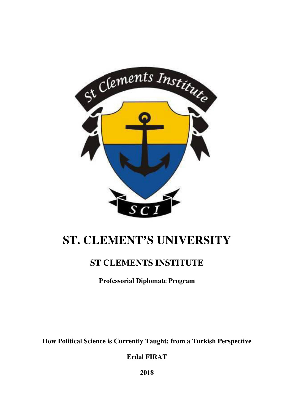

# **ST. CLEMENT'S UNIVERSITY**

## **ST CLEMENTS INSTITUTE**

**Professorial Diplomate Program** 

**How Political Science is Currently Taught: from a Turkish Perspective** 

**Erdal FIRAT** 

**2018**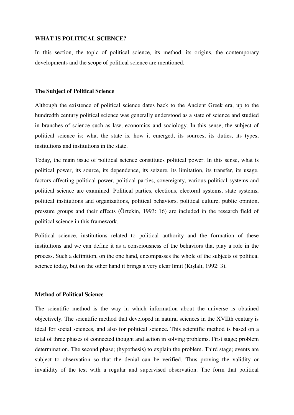### **WHAT IS POLITICAL SCIENCE?**

In this section, the topic of political science, its method, its origins, the contemporary developments and the scope of political science are mentioned.

### **The Subject of Political Science**

Although the existence of political science dates back to the Ancient Greek era, up to the hundredth century political science was generally understood as a state of science and studied in branches of science such as law, economics and sociology. In this sense, the subject of political science is; what the state is, how it emerged, its sources, its duties, its types, institutions and institutions in the state.

Today, the main issue of political science constitutes political power. In this sense, what is political power, its source, its dependence, its seizure, its limitation, its transfer, its usage, factors affecting political power, political parties, sovereignty, various political systems and political science are examined. Political parties, elections, electoral systems, state systems, political institutions and organizations, political behaviors, political culture, public opinion, pressure groups and their effects (Öztekin, 1993: 16) are included in the research field of political science in this framework.

Political science, institutions related to political authority and the formation of these institutions and we can define it as a consciousness of the behaviors that play a role in the process. Such a definition, on the one hand, encompasses the whole of the subjects of political science today, but on the other hand it brings a very clear limit (Kışlalı, 1992: 3).

### **Method of Political Science**

The scientific method is the way in which information about the universe is obtained objectively. The scientific method that developed in natural sciences in the XVIIth century is ideal for social sciences, and also for political science. This scientific method is based on a total of three phases of connected thought and action in solving problems. First stage; problem determination. The second phase; (hypothesis) to explain the problem. Third stage; events are subject to observation so that the denial can be verified. Thus proving the validity or invalidity of the test with a regular and supervised observation. The form that political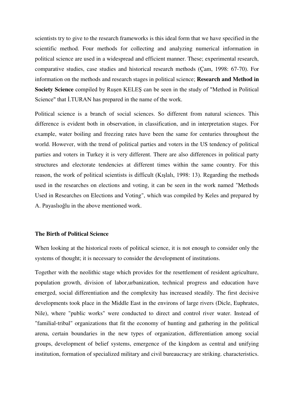scientists try to give to the research frameworks is this ideal form that we have specified in the scientific method. Four methods for collecting and analyzing numerical information in political science are used in a widespread and efficient manner. These; experimental research, comparative studies, case studies and historical research methods (Çam, 1998: 67-70). For information on the methods and research stages in political science; **Research and Method in Society Science** compiled by Ruşen KELEŞ can be seen in the study of "Method in Political Science" that İ.TURAN has prepared in the name of the work.

Political science is a branch of social sciences. So different from natural sciences. This difference is evident both in observation, in classification, and in interpretation stages. For example, water boiling and freezing rates have been the same for centuries throughout the world. However, with the trend of political parties and voters in the US tendency of political parties and voters in Turkey it is very different. There are also differences in political party structures and electorate tendencies at different times within the same country. For this reason, the work of political scientists is difficult (Kışlalı, 1998: 13). Regarding the methods used in the researches on elections and voting, it can be seen in the work named "Methods Used in Researches on Elections and Voting", which was compiled by Keles and prepared by A. Payaslıoğlu in the above mentioned work.

### **The Birth of Political Science**

When looking at the historical roots of political science, it is not enough to consider only the systems of thought; it is necessary to consider the development of institutions.

Together with the neolithic stage which provides for the resettlement of resident agriculture, population growth, division of labor,urbanization, technical progress and education have emerged, social differentiation and the complexity has increased steadily. The first decisive developments took place in the Middle East in the environs of large rivers (Dicle, Euphrates, Nile), where "public works" were conducted to direct and control river water. Instead of "familial-tribal" organizations that fit the economy of hunting and gathering in the political arena, certain boundaries in the new types of organization, differentiation among social groups, development of belief systems, emergence of the kingdom as central and unifying institution, formation of specialized military and civil bureaucracy are striking. characteristics.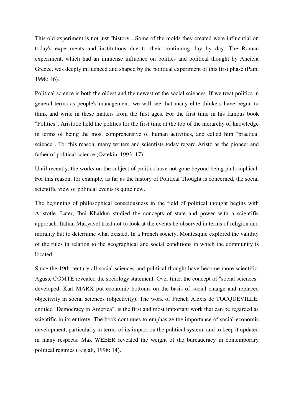This old experiment is not just "history". Some of the molds they created were influential on today's experiments and institutions due to their continuing day by day. The Roman experiment, which had an immense influence on politics and political thought by Ancient Greece, was deeply influenced and shaped by the political experiment of this first phase (Pam, 1998: 46).

Political science is both the oldest and the newest of the social sciences. If we treat politics in general terms as people's management, we will see that many elite thinkers have begun to think and write in these matters from the first ages. For the first time in his famous book "Politics", Aristotle held the politics for the first time at the top of the hierarchy of knowledge in terms of being the most comprehensive of human activities, and called him "practical science". For this reason, many writers and scientists today regard Aristo as the pioneer and father of political science (Öztekin, 1993: 17).

Until recently, the works on the subject of politics have not gone beyond being philosophical. For this reason, for example, as far as the history of Political Thought is concerned, the social scientific view of political events is quite new.

The beginning of philosophical consciousness in the field of political thought begins with Aristotle. Later, Ibni Khaldun studied the concepts of state and power with a scientific approach. Italian Makyavel tried not to look at the events he observed in terms of religion and morality but to determine what existed. In a French society, Montesquie explored the validity of the rules in relation to the geographical and social conditions in which the community is located.

Since the 19th century all social sciences and political thought have become more scientific. Aguste COMTE revealed the sociology statement. Over time, the concept of "social sciences" developed. Karl MARX put economic bottoms on the basis of social change and replaced objectivity in social sciences (objectivity). The work of French Alexis de TOCQUEVILLE, entitled "Democracy in America", is the first and most important work that can be regarded as scientific in its entirety. The book continues to emphasize the importance of social-economic development, particularly in terms of its impact on the political system, and to keep it updated in many respects. Max WEBER revealed the weight of the bureaucracy in contemporary political regimes (Kışlalı, 1998: 14).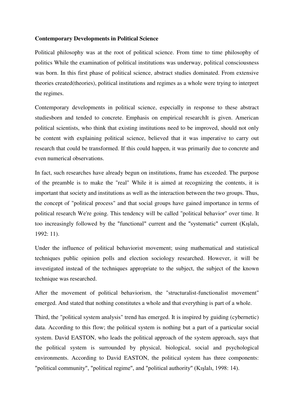### **Contemporary Developments in Political Science**

Political philosophy was at the root of political science. From time to time philosophy of politics While the examination of political institutions was underway, political consciousness was born. In this first phase of political science, abstract studies dominated. From extensive theories created(theories), political institutions and regimes as a whole were trying to interpret the regimes.

Contemporary developments in political science, especially in response to these abstract studiesborn and tended to concrete. Emphasis on empirical researchIt is given. American political scientists, who think that existing institutions need to be improved, should not only be content with explaining political science, believed that it was imperative to carry out research that could be transformed. If this could happen, it was primarily due to concrete and even numerical observations.

In fact, such researches have already begun on institutions, frame has exceeded. The purpose of the preamble is to make the "real" While it is aimed at recognizing the contents, it is important that society and institutions as well as the interaction between the two groups. Thus, the concept of "political process" and that social groups have gained importance in terms of political research We're going. This tendency will be called "political behavior" over time. It too increasingly followed by the "functional" current and the "systematic" current (Kışlalı, 1992: 11).

Under the influence of political behaviorist movement; using mathematical and statistical techniques public opinion polls and election sociology researched. However, it will be investigated instead of the techniques appropriate to the subject, the subject of the known technique was researched.

After the movement of political behaviorism, the "structuralist-functionalist movement" emerged. And stated that nothing constitutes a whole and that everything is part of a whole.

Third, the "political system analysis" trend has emerged. It is inspired by guiding (cybernetic) data. According to this flow; the political system is nothing but a part of a particular social system. David EASTON, who leads the political approach of the system approach, says that the political system is surrounded by physical, biological, social and psychological environments. According to David EASTON, the political system has three components: "political community", "political regime", and "political authority" (Kışlalı, 1998: 14).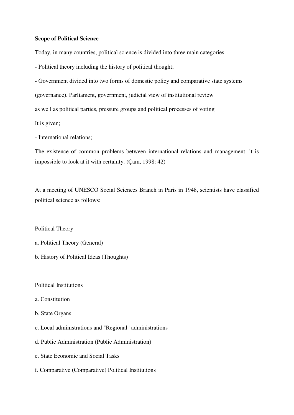### **Scope of Political Science**

Today, in many countries, political science is divided into three main categories:

- Political theory including the history of political thought;

- Government divided into two forms of domestic policy and comparative state systems

(governance). Parliament, government, judicial view of institutional review

as well as political parties, pressure groups and political processes of voting

It is given;

- International relations;

The existence of common problems between international relations and management, it is impossible to look at it with certainty. (Çam, 1998: 42)

At a meeting of UNESCO Social Sciences Branch in Paris in 1948, scientists have classified political science as follows:

Political Theory

- a. Political Theory (General)
- b. History of Political Ideas (Thoughts)

Political Institutions

- a. Constitution
- b. State Organs
- c. Local administrations and "Regional" administrations
- d. Public Administration (Public Administration)
- e. State Economic and Social Tasks
- f. Comparative (Comparative) Political Institutions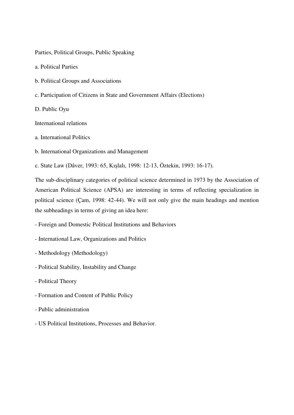Parties, Political Groups, Public Speaking

a. Political Parties

- b. Political Groups and Associations
- c. Participation of Citizens in State and Government Affairs (Elections)

D. Public Oyu

International relations

- a. International Politics
- b. International Organizations and Management

c. State Law (Dâver, 1993: 65, Kışlalı, 1998: 12-13, Öztekin, 1993: 16-17).

The sub-disciplinary categories of political science determined in 1973 by the Association of American Political Science (APSA) are interesting in terms of reflecting specialization in political science (Çam, 1998: 42-44). We will not only give the main headings and mention the subheadings in terms of giving an idea here:

- Foreign and Domestic Political Institutions and Behaviors
- International Law, Organizations and Politics
- Methodology (Methodology)
- Political Stability, Instability and Change
- Political Theory
- Formation and Content of Public Policy
- Public administration
- US Political Institutions, Processes and Behavior.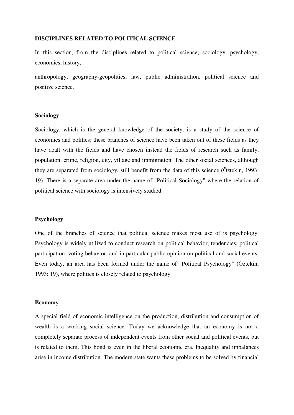### **DISCIPLINES RELATED TO POLITICAL SCIENCE**

In this section, from the disciplines related to political science; sociology, psychology, economics, history,

anthropology, geography-geopolitics, law, public administration, political science and positive science.

### **Sociology**

Sociology, which is the general knowledge of the society, is a study of the science of economics and politics; these branches of science have been taken out of these fields as they have dealt with the fields and have chosen instead the fields of research such as family, population, crime, religion, city, village and immigration. The other social sciences, although they are separated from sociology, still benefit from the data of this science (Öztekin, 1993: 19). There is a separate area under the name of "Political Sociology" where the relation of political science with sociology is intensively studied.

### **Psychology**

One of the branches of science that political science makes most use of is psychology. Psychology is widely utilized to conduct research on political behavior, tendencies, political participation, voting behavior, and in particular public opinion on political and social events. Even today, an area has been formed under the name of "Political Psychology" (Öztekin, 1993: 19), where politics is closely related to psychology.

### **Economy**

A special field of economic intelligence on the production, distribution and consumption of wealth is a working social science. Today we acknowledge that an economy is not a completely separate process of independent events from other social and political events, but is related to them. This bond is even in the liberal economic era. Inequality and imbalances arise in income distribution. The modern state wants these problems to be solved by financial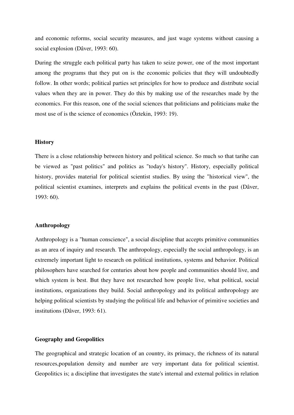and economic reforms, social security measures, and just wage systems without causing a social explosion (Dâver, 1993: 60).

During the struggle each political party has taken to seize power, one of the most important among the programs that they put on is the economic policies that they will undoubtedly follow. In other words; political parties set principles for how to produce and distribute social values when they are in power. They do this by making use of the researches made by the economics. For this reason, one of the social sciences that politicians and politicians make the most use of is the science of economics (Öztekin, 1993: 19).

### **History**

There is a close relationship between history and political science. So much so that tarihe can be viewed as "past politics" and politics as "today's history". History, especially political history, provides material for political scientist studies. By using the "historical view", the political scientist examines, interprets and explains the political events in the past (Dâver, 1993: 60).

### **Anthropology**

Anthropology is a "human conscience", a social discipline that accepts primitive communities as an area of inquiry and research. The anthropology, especially the social anthropology, is an extremely important light to research on political institutions, systems and behavior. Political philosophers have searched for centuries about how people and communities should live, and which system is best. But they have not researched how people live, what political, social institutions, organizations they build. Social anthropology and its political anthropology are helping political scientists by studying the political life and behavior of primitive societies and institutions (Dâver, 1993: 61).

### **Geography and Geopolitics**

The geographical and strategic location of an country, its primacy, the richness of its natural resources,population density and number are very important data for political scientist. Geopolitics is; a discipline that investigates the state's internal and external politics in relation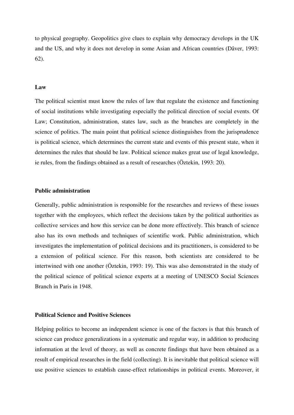to physical geography. Geopolitics give clues to explain why democracy develops in the UK and the US, and why it does not develop in some Asian and African countries (Dâver, 1993: 62).

### **Law**

The political scientist must know the rules of law that regulate the existence and functioning of social institutions while investigating especially the political direction of social events. Of Law; Constitution, administration, states law, such as the branches are completely in the science of politics. The main point that political science distinguishes from the jurisprudence is political science, which determines the current state and events of this present state, when it determines the rules that should be law. Political science makes great use of legal knowledge, ie rules, from the findings obtained as a result of researches (Öztekin, 1993: 20).

### **Public administration**

Generally, public administration is responsible for the researches and reviews of these issues together with the employees, which reflect the decisions taken by the political authorities as collective services and how this service can be done more effectively. This branch of science also has its own methods and techniques of scientific work. Public administration, which investigates the implementation of political decisions and its practitioners, is considered to be a extension of political science. For this reason, both scientists are considered to be intertwined with one another (Öztekin, 1993: 19). This was also demonstrated in the study of the political science of political science experts at a meeting of UNESCO Social Sciences Branch in Paris in 1948.

### **Political Science and Positive Sciences**

Helping politics to become an independent science is one of the factors is that this branch of science can produce generalizations in a systematic and regular way, in addition to producing information at the level of theory, as well as concrete findings that have been obtained as a result of empirical researches in the field (collecting). It is inevitable that political science will use positive sciences to establish cause-effect relationships in political events. Moreover, it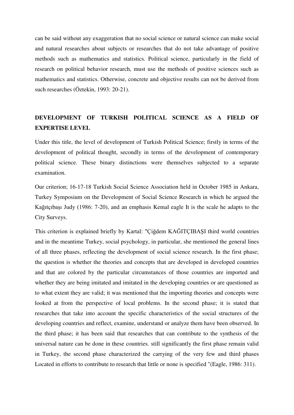can be said without any exaggeration that no social science or natural science can make social and natural researches about subjects or researches that do not take advantage of positive methods such as mathematics and statistics. Political science, particularly in the field of research on political behavior research, must use the methods of positive sciences such as mathematics and statistics. Otherwise, concrete and objective results can not be derived from such researches (Öztekin, 1993: 20-21).

### **DEVELOPMENT OF TURKISH POLITICAL SCIENCE AS A FIELD OF EXPERTISE LEVEL**

Under this title, the level of development of Turkish Political Science; firstly in terms of the development of political thought, secondly in terms of the development of contemporary political science. These binary distinctions were themselves subjected to a separate examination.

Our criterion; 16-17-18 Turkish Social Science Association held in October 1985 in Ankara, Turkey Symposium on the Development of Social Science Research in which he argued the Kağıtçıbaşı Judy (1986: 7-20), and an emphasis Kemal eagle It is the scale he adapts to the City Surveys.

This criterion is explained briefly by Kartal: "Çiğdem KAĞITÇIBAŞI third world countries and in the meantime Turkey, social psychology, in particular, she mentioned the general lines of all three phases, reflecting the development of social science research. In the first phase; the question is whether the theories and concepts that are developed in developed countries and that are colored by the particular circumstances of those countries are imported and whether they are being imitated and imitated in the developing countries or are questioned as to what extent they are valid; it was mentioned that the importing theories and concepts were looked at from the perspective of local problems. In the second phase; it is stated that researches that take into account the specific characteristics of the social structures of the developing countries and reflect, examine, understand or analyze them have been observed. In the third phase; it has been said that researches that can contribute to the synthesis of the universal nature can be done in these countries. still significantly the first phase remain valid in Turkey, the second phase characterized the carrying of the very few and third phases Located in efforts to contribute to research that little or none is specified "(Eagle, 1986: 311).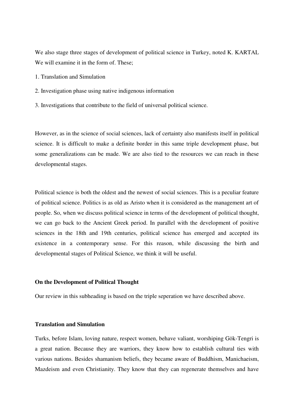We also stage three stages of development of political science in Turkey, noted K. KARTAL We will examine it in the form of. These;

- 1. Translation and Simulation
- 2. Investigation phase using native indigenous information
- 3. Investigations that contribute to the field of universal political science.

However, as in the science of social sciences, lack of certainty also manifests itself in political science. It is difficult to make a definite border in this same triple development phase, but some generalizations can be made. We are also tied to the resources we can reach in these developmental stages.

Political science is both the oldest and the newest of social sciences. This is a peculiar feature of political science. Politics is as old as Aristo when it is considered as the management art of people. So, when we discuss political science in terms of the development of political thought, we can go back to the Ancient Greek period. In parallel with the development of positive sciences in the 18th and 19th centuries, political science has emerged and accepted its existence in a contemporary sense. For this reason, while discussing the birth and developmental stages of Political Science, we think it will be useful.

### **On the Development of Political Thought**

Our review in this subheading is based on the triple seperation we have described above.

### **Translation and Simulation**

Turks, before Islam, loving nature, respect women, behave valiant, worshiping Gök-Tengri is a great nation. Because they are warriors, they know how to establish cultural ties with various nations. Besides shamanism beliefs, they became aware of Buddhism, Manichaeism, Mazdeism and even Christianity. They know that they can regenerate themselves and have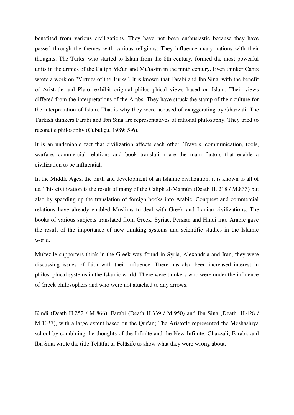benefited from various civilizations. They have not been enthusiastic because they have passed through the themes with various religions. They influence many nations with their thoughts. The Turks, who started to Islam from the 8th century, formed the most powerful units in the armies of the Caliph Me'un and Mu'tasim in the ninth century. Even thinker Cahiz wrote a work on "Virtues of the Turks". It is known that Farabi and Ibn Sina, with the benefit of Aristotle and Plato, exhibit original philosophical views based on Islam. Their views differed from the interpretations of the Arabs. They have struck the stamp of their culture for the interpretation of Islam. That is why they were accused of exaggerating by Ghazzali. The Turkish thinkers Farabi and Ibn Sina are representatives of rational philosophy. They tried to reconcile philosophy (Çubukçu, 1989: 5-6).

It is an undeniable fact that civilization affects each other. Travels, communication, tools, warfare, commercial relations and book translation are the main factors that enable a civilization to be influential.

In the Middle Ages, the birth and development of an Islamic civilization, it is known to all of us. This civilization is the result of many of the Caliph al-Ma'mûn (Death H. 218 / M.833) but also by speeding up the translation of foreign books into Arabic. Conquest and commercial relations have already enabled Muslims to deal with Greek and Iranian civilizations. The books of various subjects translated from Greek, Syriac, Persian and Hindi into Arabic gave the result of the importance of new thinking systems and scientific studies in the Islamic world.

Mu'tezile supporters think in the Greek way found in Syria, Alexandria and Iran, they were discussing issues of faith with their influence. There has also been increased interest in philosophical systems in the Islamic world. There were thinkers who were under the influence of Greek philosophers and who were not attached to any arrows.

Kindi (Death H.252 / M.866), Farabi (Death H.339 / M.950) and Ibn Sina (Death. H.428 / M.1037), with a large extent based on the Qur'an; The Aristotle represented the Meshashiya school by combining the thoughts of the Infinite and the New-Infinite. Ghazzali, Farabi, and Ibn Sina wrote the title Tehâfut al-Felâsife to show what they were wrong about.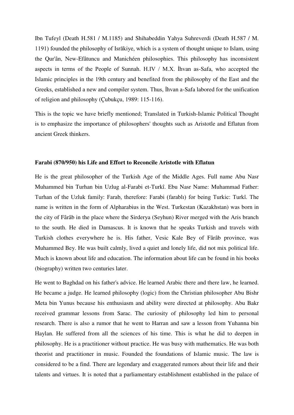Ibn Tufeyl (Death H.581 / M.1185) and Shihabeddin Yahya Suhreverdi (Death H.587 / M. 1191) founded the philosophy of Isrākiye, which is a system of thought unique to Islam, using the Qur'ân, New-Efâtuncu and Manichéen philosophies. This philosophy has inconsistent aspects in terms of the People of Sunnah. H.IV / M.X. İhvan as-Safa, who accepted the Islamic principles in the 19th century and benefited from the philosophy of the East and the Greeks, established a new and compiler system. Thus, İhvan a-Safa labored for the unification of religion and philosophy (Çubukçu, 1989: 115-116).

This is the topic we have briefly mentioned; Translated in Turkish-Islamic Political Thought is to emphasize the importance of philosophers' thoughts such as Aristotle and Eflatun from ancient Greek thinkers.

### **Farabi (870/950) his Life and Effort to Reconcile Aristotle with Eflatun**

He is the great philosopher of the Turkish Age of the Middle Ages. Full name Abu Nasr Muhammed bin Turhan bin Uzlug al-Farabi et-Turkî. Ebu Nasr Name: Muhammad Father: Turhan of the Uzluk family: Farab, therefore: Farabi (farablı) for being Turkic: Turkî. The name is written in the form of Alpharabius in the West. Turkestan (Kazakhstan) was born in the city of Fârâb in the place where the Sirderya (Seyhun) River merged with the Aris branch to the south. He died in Damascus. It is known that he speaks Turkish and travels with Turkish clothes everywhere he is. His father, Vesic Kale Bey of Fârâb province, was Muhammed Bey. He was built calmly, lived a quiet and lonely life, did not mix political life. Much is known about life and education. The information about life can be found in his books (biography) written two centuries later.

He went to Baghdad on his father's advice. He learned Arabic there and there law, he learned. He became a judge. He learned philosophy (logic) from the Christian philosopher Abu Bishr Meta bin Yunus because his enthusiasm and ability were directed at philosophy. Abu Bakr received grammar lessons from Sarac. The curiosity of philosophy led him to personal research. There is also a rumor that he went to Harran and saw a lesson from Yuhanna bin Haylan. He suffered from all the sciences of his time. This is what he did to deepen in philosophy. He is a practitioner without practice. He was busy with mathematics. He was both theorist and practitioner in music. Founded the foundations of Islamic music. The law is considered to be a find. There are legendary and exaggerated rumors about their life and their talents and virtues. It is noted that a parliamentary establishment established in the palace of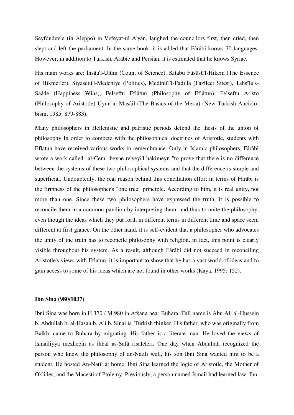Seyfdudevle (in Aleppo) in Vefeyat-ul A'yan, laughed the councilors first, then cried, then slept and left the parliament. In the same book, it is added that Fârâbî knows 70 languages. However, in addition to Turkish, Arabic and Persian, it is estimated that he knows Syriac.

His main works are: İhsâu'l-Ulûm (Count of Science), Kitabu Füsûsü'l-Hikem (The Essence of Hikmetler), Siyasetü'l-Medeniye (Politics), Medînü'l'l-Fadılla (Fazîleet Sitesi), Tahsîlu's-Saâde (Happiness Wins), Felseftu Eflâtun (Philosophy of Eflâtun), Felseftu Aristo (Philosophy of Aristotle) Uyun al-Masâil (The Basics of the Mes'a) (New Turkish Anciclobism, 1985: 879-883).

Many philosophers in Hellenistic and patristic periods defend the thesis of the union of philosophy In order to compete with the philosophical doctrines of Aristotle, students with Eflatun have received various works in remembrance. Only in Islamic philosophers, Fârâbî wrote a work called "al-Cem" beyne re'yeyi'l hakimeyn "to prove that there is no difference between the systems of these two philosophical systems and that the difference is simple and superficial. Undoubtedly, the real reason behind this conciliation effort in terms of Fârâbi is the firmness of the philosopher's "one true" principle. According to him, it is real unity, not more than one. Since these two philosophers have expressed the truth, it is possible to reconcile them in a common pavilion by interpreting them, and thus to unite the philosophy, even though the ideas which they put forth in different terms in different time and space seem different at first glance. On the other hand, it is self-evident that a philosopher who advocates the unity of the truth has to reconcile philosophy with religion, in fact, this point is clearly visible throughout his system. As a result, although Fârâbî did not succeed in reconciling Aristotle's views with Eflatun, it is important to show that he has a vast world of ideas and to gain access to some of his ideas which are not found in other works (Kaya, 1995: 152).

### **Ibn Sina (980/1037)**

Ibni Sina was born in H.370 / M.980 in Afşana near Buhara. Full name is Abu Ali al-Hussein b. Abdullah b. al-Hasan b. Ali b. Sinai is. Turkish thinker. His father, who was originally from Balkh, came to Buhara by migrating. His father is a literate man. He loved the views of İsmailiyya mezhebin as ihbal as-Safâ risaleleri. One day when Abdullah recognized the person who knew the philosophy of an-Natili well, his son Ibni Sina wanted him to be a student. He hosted An-Natil at home. Ibni Sina learned the logic of Aristotle, the Mother of Oklides, and the Macesti of Ptolemy. Previously, a person named İsmail had learned law. Ibni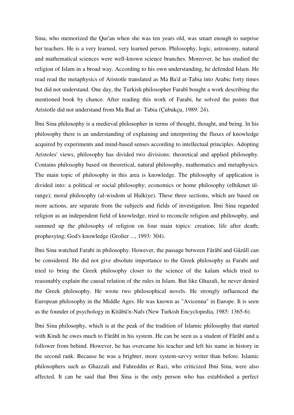Sina, who memorized the Qur'an when she was ten years old, was smart enough to surprise her teachers. He is a very learned, very learned person. Philosophy, logic, astronomy, natural and mathematical sciences were well-known science branches. Moreover, he has studied the religion of Islam in a broad way. According to his own understanding, he defended Islam. He read read the metaphysics of Aristotle translated as Ma Ba'd at-Tabia into Arabic forty times but did not understand. One day, the Turkish philosopher Farabî bought a work describing the mentioned book by chance. After reading this work of Farabi, he solved the points that Aristotle did not understand from Ma Bad at- Tabia (Çubukçu, 1989: 24).

İbni Sina philosophy is a medieval philosopher in terms of thought, thought, and being. In his philosophy there is an understanding of explaining and interpreting the fluxes of knowledge acquired by experiments and mind-based senses according to intellectual principles. Adopting Aristoles' views, philosophy has divided two divisions: theoretical and applied philosophy. Contains philosophy based on theoretical, natural philosophy, mathematics and metaphysics. The main topic of philosophy in this area is knowledge. The philosophy of application is divided into: a political or social philosophy; economics or home philosophy (elhikmet ülrange); moral philosophy (al-wisdom ul Hulkiye). These three sections, which are based on more actions, are separate from the subjects and fields of investigation. İbni Sina regarded religion as an independent field of knowledge, tried to reconcile religion and philosophy, and summed up the philosophy of religion on four main topics: creation; life after death; prophesying; God's knowledge (Grolier ..., 1993: 304).

İbni Sina watched Farabi in philosophy. However, the passage between Fârâbî and Gâzâlî can be considered. He did not give absolute importance to the Greek philosophy as Farabi and tried to bring the Greek philosophy closer to the science of the kalam which tried to reasonably explain the causal relation of the rules in Islam. But like Ghazali, he never denied the Greek philosophy. He wrote two philosophical novels. He strongly influenced the European philosophy in the Middle Ages. He was known as "Avicenna" in Europe. It is seen as the founder of psychology in Kitâbü'n-Nafs (New Turkish Encyclopedia, 1985: 1365-6).

İbni Sina philosophy, which is at the peak of the tradition of Islamic philosophy that started with Kindi he owes much to Fârâbî in his system. He can be seen as a student of Fârâbî and a follower from behind. However, he has overcame his teacher and left his name in history in the second rank. Because he was a brighter, more system-savvy writer than before. Islamic philosophers such as Ghazzali and Fahreddin er Razi, who criticized Ibni Sina, were also affected. It can be said that Ibni Sina is the only person who has established a perfect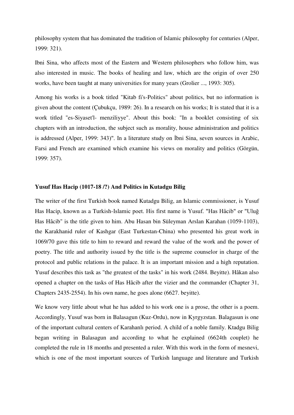philosophy system that has dominated the tradition of Islamic philosophy for centuries (Alper, 1999: 321).

Ibni Sina, who affects most of the Eastern and Western philosophers who follow him, was also interested in music. The books of healing and law, which are the origin of over 250 works, have been taught at many universities for many years (Grolier ..., 1993: 305).

Among his works is a book titled "Kitab fi's-Politics" about politics, but no information is given about the content (Çubukçu, 1989: 26). In a research on his works; It is stated that it is a work titled "es-Siyaset'l- menziliyye". About this book: "In a booklet consisting of six chapters with an introduction, the subject such as morality, house administration and politics is addressed (Alper, 1999: 343)". In a literature study on İbni Sina, seven sources in Arabic, Farsi and French are examined which examine his views on morality and politics (Görgün, 1999: 357).

### **Yusuf Has Hacip (1017-18 /?) And Politics in Kutadgu Bilig**

The writer of the first Turkish book named Kutadgu Bilig, an Islamic commissioner, is Yusuf Has Hacip, known as a Turkish-Islamic poet. His first name is Yusuf. "Has Hâcib" or "Uluğ Has Hâcib" is the title given to him. Abu Hasan bin Süleyman Arslan Karahan (1059-1103), the Karakhanid ruler of Kashgar (East Turkestan-China) who presented his great work in 1069/70 gave this title to him to reward and reward the value of the work and the power of poetry. The title and authority issued by the title is the supreme counselor in charge of the protocol and public relations in the palace. It is an important mission and a high reputation. Yusuf describes this task as "the greatest of the tasks" in his work (2484. Beyitte). Hâkan also opened a chapter on the tasks of Has Hâcib after the vizier and the commander (Chapter 31, Chapters 2435-2554). In his own name, he goes alone (6627. beyitte).

We know very little about what he has added to his work one is a prose, the other is a poem. Accordingly, Yusuf was born in Balasagun (Kuz-Ordu), now in Kyrgyzstan. Balagasun is one of the important cultural centers of Karahanlı period. A child of a noble family. Ktadgu Bilig began writing in Balasagun and according to what he explained (6624th couplet) he completed the rule in 18 months and presented a ruler. With this work in the form of mesnevi, which is one of the most important sources of Turkish language and literature and Turkish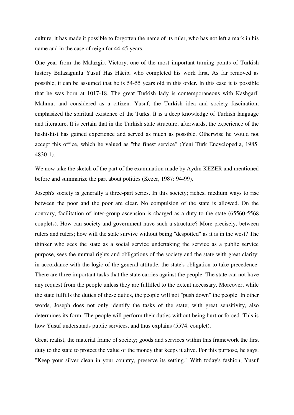culture, it has made it possible to forgotten the name of its ruler, who has not left a mark in his name and in the case of reign for 44-45 years.

One year from the Malazgirt Victory, one of the most important turning points of Turkish history Balasagunlu Yusuf Has Hâcib, who completed his work first, As far removed as possible, it can be assumed that he is 54-55 years old in this order. In this case it is possible that he was born at 1017-18. The great Turkish lady is contemporaneous with Kashgarli Mahmut and considered as a citizen. Yusuf, the Turkish idea and society fascination, emphasized the spiritual existence of the Turks. It is a deep knowledge of Turkish language and literature. It is certain that in the Turkish state structure, afterwards, the experience of the hashishist has gained experience and served as much as possible. Otherwise he would not accept this office, which he valued as "the finest service" (Yeni Türk Encyclopedia, 1985: 4830-1).

We now take the sketch of the part of the examination made by Aydın KEZER and mentioned before and summarize the part about politics (Kezer, 1987: 94-99).

Joseph's society is generally a three-part series. In this society; riches, medium ways to rise between the poor and the poor are clear. No compulsion of the state is allowed. On the contrary, facilitation of inter-group ascension is charged as a duty to the state (65560-5568 couplets). How can society and government have such a structure? More precisely, between rulers and rulers; how will the state survive without being "despotted" as it is in the west? The thinker who sees the state as a social service undertaking the service as a public service purpose, sees the mutual rights and obligations of the society and the state with great clarity; in accordance with the logic of the general attitude, the state's obligation to take precedence. There are three important tasks that the state carries against the people. The state can not have any request from the people unless they are fulfilled to the extent necessary. Moreover, while the state fulfills the duties of these duties, the people will not "push down" the people. In other words, Joseph does not only identify the tasks of the state; with great sensitivity, also determines its form. The people will perform their duties without being hurt or forced. This is how Yusuf understands public services, and thus explains (5574. couplet).

Great realist, the material frame of society; goods and services within this framework the first duty to the state to protect the value of the money that keeps it alive. For this purpose, he says, "Keep your silver clean in your country, preserve its setting." With today's fashion, Yusuf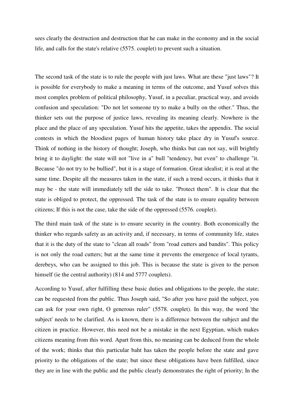sees clearly the destruction and destruction that he can make in the economy and in the social life, and calls for the state's relative (5575. couplet) to prevent such a situation.

The second task of the state is to rule the people with just laws. What are these "just laws"? It is possible for everybody to make a meaning in terms of the outcome, and Yusuf solves this most complex problem of political philosophy, Yusuf, in a peculiar, practical way, and avoids confusion and speculation: "Do not let someone try to make a bully on the other." Thus, the thinker sets out the purpose of justice laws, revealing its meaning clearly. Nowhere is the place and the place of any speculation. Yusuf hits the appetite, takes the appendix. The social contests in which the bloodiest pages of human history take place dry in Yusuf's source. Think of nothing in the history of thought; Joseph, who thinks but can not say, will brightly bring it to daylight: the state will not "live in a" bull "tendency, but even" to challenge "it. Because "do not try to be bullied", but it is a stage of formation. Great idealist; it is real at the same time. Despite all the measures taken in the state, if such a trend occurs, it thinks that it may be - the state will immediately tell the side to take. "Protect them". It is clear that the state is obliged to protect, the oppressed. The task of the state is to ensure equality between citizens; If this is not the case, take the side of the oppressed (5576. couplet).

The third main task of the state is to ensure security in the country. Both economically the thinker who regards safety as an activity and, if necessary, in terms of community life, states that it is the duty of the state to "clean all roads" from "road cutters and bandits". This policy is not only the road cutters; but at the same time it prevents the emergence of local tyrants, derebeys, who can be assigned to this job. This is because the state is given to the person himself (ie the central authority) (814 and 5777 couplets).

According to Yusuf, after fulfilling these basic duties and obligations to the people, the state; can be requested from the public. Thus Joseph said, "So after you have paid the subject, you can ask for your own right, O generous ruler" (5578. couplet). In this way, the word 'the subject' needs to be clarified. As is known, there is a difference between the subject and the citizen in practice. However, this need not be a mistake in the next Egyptian, which makes citizens meaning from this word. Apart from this, no meaning can be deduced from the whole of the work; thinks that this particular baht has taken the people before the state and gave priority to the obligations of the state; but since these obligations have been fulfilled, since they are in line with the public and the public clearly demonstrates the right of priority; In the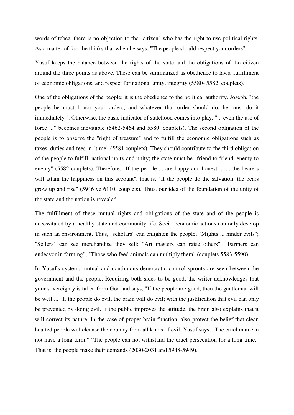words of tebea, there is no objection to the "citizen" who has the right to use political rights. As a matter of fact, he thinks that when he says, "The people should respect your orders".

Yusuf keeps the balance between the rights of the state and the obligations of the citizen around the three points as above. These can be summarized as obedience to laws, fulfillment of economic obligations, and respect for national unity, integrity (5580- 5582. couplets).

One of the obligations of the people; it is the obedience to the political authority. Joseph, "the people he must honor your orders, and whatever that order should do, he must do it immediately ". Otherwise, the basic indicator of statehood comes into play, "... even the use of force ..." becomes inevitable (5462-5464 and 5580. couplets). The second obligation of the people is to observe the "right of treasure" and to fulfill the economic obligations such as taxes, duties and fees in "time" (5581 couplets). They should contribute to the third obligation of the people to fulfill, national unity and unity; the state must be "friend to friend, enemy to enemy" (5582 couplets). Therefore, "If the people ... are happy and honest ... ... the bearers will attain the happiness on this account", that is, "If the people do the salvation, the bears grow up and rise" (5946 ve 6110. couplets). Thus, our idea of the foundation of the unity of the state and the nation is revealed.

The fulfillment of these mutual rights and obligations of the state and of the people is necessitated by a healthy state and community life. Socio-economic actions can only develop in such an environment. Thus, "scholars" can enlighten the people; "Mights ... hinder evils"; "Sellers" can see merchandise they sell; "Art masters can raise others"; "Farmers can endeavor in farming"; "Those who feed animals can multiply them" (couplets 5583-5590).

In Yusuf's system, mutual and continuous democratic control sprouts are seen between the government and the people. Requiring both sides to be good, the writer acknowledges that your sovereignty is taken from God and says, "If the people are good, then the gentleman will be well ..." If the people do evil, the brain will do evil; with the justification that evil can only be prevented by doing evil. If the public improves the attitude, the brain also explains that it will correct its nature. In the case of proper brain function, also protect the belief that clean hearted people will cleanse the country from all kinds of evil. Yusuf says, "The cruel man can not have a long term." "The people can not withstand the cruel persecution for a long time." That is, the people make their demands (2030-2031 and 5948-5949).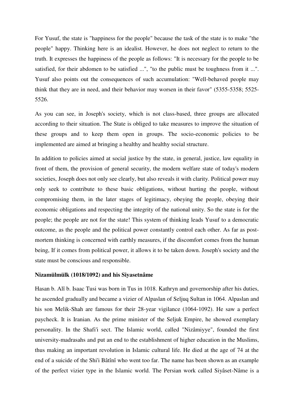For Yusuf, the state is "happiness for the people" because the task of the state is to make "the people" happy. Thinking here is an idealist. However, he does not neglect to return to the truth. It expresses the happiness of the people as follows: "It is necessary for the people to be satisfied, for their abdomen to be satisfied ...", "to the public must be toughness from it ...". Yusuf also points out the consequences of such accumulation: "Well-behaved people may think that they are in need, and their behavior may worsen in their favor" (5355-5358; 5525- 5526.

As you can see, in Joseph's society, which is not class-based, three groups are allocated according to their situation. The State is obliged to take measures to improve the situation of these groups and to keep them open in groups. The socio-economic policies to be implemented are aimed at bringing a healthy and healthy social structure.

In addition to policies aimed at social justice by the state, in general, justice, law equality in front of them, the provision of general security, the modern welfare state of today's modern societies, Joseph does not only see clearly, but also reveals it with clarity. Political power may only seek to contribute to these basic obligations, without hurting the people, without compromising them, in the later stages of legitimacy, obeying the people, obeying their economic obligations and respecting the integrity of the national unity. So the state is for the people; the people are not for the state! This system of thinking leads Yusuf to a democratic outcome, as the people and the political power constantly control each other. As far as postmortem thinking is concerned with earthly measures, if the discomfort comes from the human being, If it comes from political power, it allows it to be taken down. Joseph's society and the state must be conscious and responsible.

### **Nizamülmülk (1018/1092) and his Siyasetnâme**

Hasan b. Alî b. Isaac Tusi was born in Tus in 1018. Kathryn and governorship after his duties, he ascended gradually and became a vizier of Alpaslan of Seljuq Sultan in 1064. Alpaslan and his son Melik-Shah are famous for their 28-year vigilance (1064-1092). He saw a perfect paycheck. It is Iranian. As the prime minister of the Seljuk Empire, he showed exemplary personality. In the Shafi'i sect. The Islamic world, called "Nizâmiyye", founded the first university-madrasahs and put an end to the establishment of higher education in the Muslims, thus making an important revolution in Islamic cultural life. He died at the age of 74 at the end of a suicide of the Shi'i Bâtînî who went too far. The name has been shown as an example of the perfect vizier type in the Islamic world. The Persian work called Siyâset-Nâme is a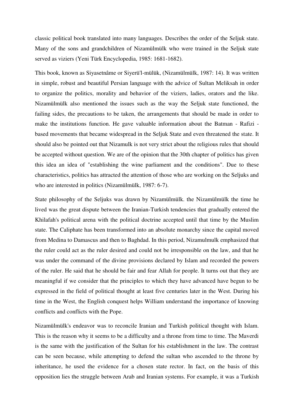classic political book translated into many languages. Describes the order of the Seljuk state. Many of the sons and grandchildren of Nizamülmülk who were trained in the Seljuk state served as viziers (Yeni Türk Encyclopedia, 1985: 1681-1682).

This book, known as Siyasetnâme or Siyerü'l-mülük, (Nizamülmülk, 1987: 14). It was written in simple, robust and beautiful Persian language with the advice of Sultan Meliksah in order to organize the politics, morality and behavior of the viziers, ladies, orators and the like. Nizamülmülk also mentioned the issues such as the way the Seljuk state functioned, the failing sides, the precautions to be taken, the arrangements that should be made in order to make the institutions function. He gave valuable information about the Batman - Rafizi based movements that became widespread in the Seljuk State and even threatened the state. It should also be pointed out that Nizamulk is not very strict about the religious rules that should be accepted without question. We are of the opinion that the 30th chapter of politics has given this idea an idea of "establishing the wine parliament and the conditions". Due to these characteristics, politics has attracted the attention of those who are working on the Seljuks and who are interested in politics (Nizamülmülk, 1987: 6-7).

State philosophy of the Seljuks was drawn by Nizamülmülk. the Nizamülmülk the time he lived was the great dispute between the Iranian-Turkish tendencies that gradually entered the Khilafah's political arena with the political doctrine accepted until that time by the Muslim state. The Caliphate has been transformed into an absolute monarchy since the capital moved from Medina to Damascus and then to Baghdad. In this period, Nizamulmulk emphasized that the ruler could act as the ruler desired and could not be irresponsible on the law, and that he was under the command of the divine provisions declared by Islam and recorded the powers of the ruler. He said that he should be fair and fear Allah for people. It turns out that they are meaningful if we consider that the principles to which they have advanced have begun to be expressed in the field of political thought at least five centuries later in the West. During his time in the West, the English conquest helps William understand the importance of knowing conflicts and conflicts with the Pope.

Nizamülmülk's endeavor was to reconcile Iranian and Turkish political thought with Islam. This is the reason why it seems to be a difficulty and a throne from time to time. The Maverdi is the same with the justification of the Sultan for his establishment in the law. The contrast can be seen because, while attempting to defend the sultan who ascended to the throne by inheritance, he used the evidence for a chosen state rector. In fact, on the basis of this opposition lies the struggle between Arab and Iranian systems. For example, it was a Turkish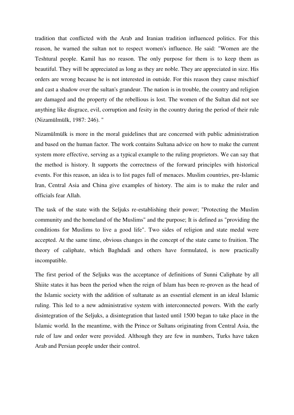tradition that conflicted with the Arab and Iranian tradition influenced politics. For this reason, he warned the sultan not to respect women's influence. He said: "Women are the Teshtural people. Kamil has no reason. The only purpose for them is to keep them as beautiful. They will be appreciated as long as they are noble. They are appreciated in size. His orders are wrong because he is not interested in outside. For this reason they cause mischief and cast a shadow over the sultan's grandeur. The nation is in trouble, the country and religion are damaged and the property of the rebellious is lost. The women of the Sultan did not see anything like disgrace, evil, corruption and fesity in the country during the period of their rule (Nizamülmülk, 1987: 246). "

Nizamülmülk is more in the moral guidelines that are concerned with public administration and based on the human factor. The work contains Sultana advice on how to make the current system more effective, serving as a typical example to the ruling proprietors. We can say that the method is history. It supports the correctness of the forward principles with historical events. For this reason, an idea is to list pages full of menaces. Muslim countries, pre-Islamic Iran, Central Asia and China give examples of history. The aim is to make the ruler and officials fear Allah.

The task of the state with the Seljuks re-establishing their power; "Protecting the Muslim community and the homeland of the Muslims" and the purpose; It is defined as "providing the conditions for Muslims to live a good life". Two sides of religion and state medal were accepted. At the same time, obvious changes in the concept of the state came to fruition. The theory of caliphate, which Baghdadi and others have formulated, is now practically incompatible.

The first period of the Seljuks was the acceptance of definitions of Sunni Caliphate by all Shiite states it has been the period when the reign of Islam has been re-proven as the head of the Islamic society with the addition of sultanate as an essential element in an ideal Islamic ruling. This led to a new administrative system with interconnected powers. With the early disintegration of the Seljuks, a disintegration that lasted until 1500 began to take place in the Islamic world. In the meantime, with the Prince or Sultans originating from Central Asia, the rule of law and order were provided. Although they are few in numbers, Turks have taken Arab and Persian people under their control.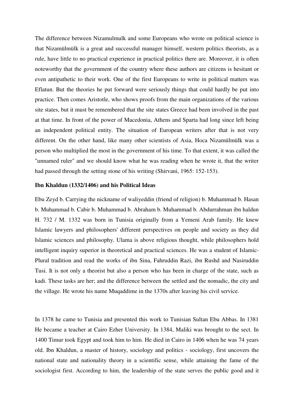The difference between Nizamulmulk and some Europeans who wrote on political science is that Nizamülmülk is a great and successful manager himself, western politics theorists, as a rule, have little to no practical experience in practical politics there are. Moreover, it is often noteworthy that the government of the country where these authors are citizens is hesitant or even antipathetic to their work. One of the first Europeans to write in political matters was Eflatun. But the theories he put forward were seriously things that could hardly be put into practice. Then comes Aristotle, who shows proofs from the main organizations of the various site states, but it must be remembered that the site states Greece had been involved in the past at that time. In front of the power of Macedonia, Athens and Sparta had long since left being an independent political entity. The situation of European writers after that is not very different. On the other hand, like many other scientists of Asia, Hoca Nizamülmülk was a person who multiplied the most in the government of his time. To that extent, it was called the "unnamed ruler" and we should know what he was reading when he wrote it, that the writer had passed through the setting stone of his writing (Shirvani, 1965: 152-153).

### **Ibn Khaldun (1332/1406) and his Political Ideas**

Ebu Zeyd b. Carrying the nickname of waliyeddin (friend of religion) b. Muhammad b. Hasan b. Muhammad b. Cabir b. Muhammad b. Abraham b. Muhammad b. Abdurrahman ibn haldun H. 732 / M. 1332 was born in Tunisia originally from a Yemeni Arab family. He knew Islamic lawyers and philosophers' different perspectives on people and society as they did Islamic sciences and philosophy. Ulama is above religious thought, while philosophers hold intelligent inquiry superior in theoretical and practical sciences. He was a student of Islamic-Plural tradition and read the works of ibn Sina, Fahruddin Razi, ibn Rushd and Nasiruddin Tusi. It is not only a theorist but also a person who has been in charge of the state, such as kadi. These tasks are her; and the difference between the settled and the nomadic, the city and the village. He wrote his name Muqaddime in the 1370s after leaving his civil service.

In 1378 he came to Tunisia and presented this work to Tunisian Sultan Ebu Abbas. In 1381 He became a teacher at Cairo Ezher University. In 1384, Maliki was brought to the sect. In 1400 Timur took Egypt and took him to him. He died in Cairo in 1406 when he was 74 years old. Ibn Khaldun, a master of history, sociology and politics - sociology, first uncovers the national state and nationality theory in a scientific sense, while attaining the fame of the sociologist first. According to him, the leadership of the state serves the public good and it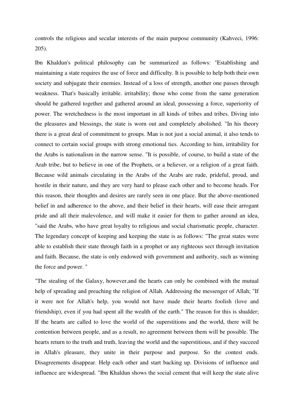controls the religious and secular interests of the main purpose community (Kahveci, 1996: 205).

Ibn Khaldun's political philosophy can be summarized as follows: "Establishing and maintaining a state requires the use of force and difficulty. It is possible to help both their own society and subjugate their enemies. Instead of a loss of strength, another one passes through weakness. That's basically irritable. irritability; those who come from the same generation should be gathered together and gathered around an ideal, possessing a force, superiority of power. The wretchedness is the most important in all kinds of tribes and tribes. Diving into the pleasures and blessings, the state is worn out and completely abolished. "In his theory there is a great deal of commitment to groups. Man is not just a social animal, it also tends to connect to certain social groups with strong emotional ties. According to him, irritability for the Arabs is nationalism in the narrow sense. "It is possible, of course, to build a state of the Arab tribe, but to believe in one of the Prophets, or a believer, or a religion of a great faith. Because wild animals circulating in the Arabs of the Arabs are rude, prideful, proud, and hostile in their nature, and they are very hard to please each other and to become heads. For this reason, their thoughts and desires are rarely seen in one place. But the above-mentioned belief in and adherence to the above, and their belief in their hearts, will ease their arrogant pride and all their malevolence, and will make it easier for them to gather around an idea, "said the Arabs, who have great loyalty to religious and social charismatic people, character. The legendary concept of keeping and keeping the state is as follows: "The great states were able to establish their state through faith in a prophet or any righteous sect through invitation and faith. Because, the state is only endowed with government and authority, such as winning the force and power. "

"The stealing of the Galaxy, however,and the hearts can only be combined with the mutual help of spreading and preaching the religion of Allah. Addressing the messenger of Allah; "If it were not for Allah's help, you would not have made their hearts foolish (love and friendship), even if you had spent all the wealth of the earth." The reason for this is shudder; If the hearts are called to love the world of the superstitions and the world, there will be contention between people, and as a result, no agreement between them will be possible. The hearts return to the truth and truth, leaving the world and the superstitious, and if they succeed in Allah's pleasure, they unite in their purpose and purpose. So the contest ends. Disagreements disappear. Help each other and start backing up. Divisions of influence and influence are widespread. "Ibn Khaldun shows the social cement that will keep the state alive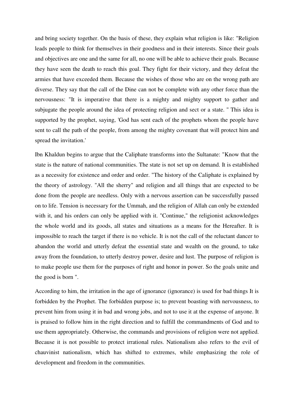and bring society together. On the basis of these, they explain what religion is like: "Religion leads people to think for themselves in their goodness and in their interests. Since their goals and objectives are one and the same for all, no one will be able to achieve their goals. Because they have seen the death to reach this goal. They fight for their victory, and they defeat the armies that have exceeded them. Because the wishes of those who are on the wrong path are diverse. They say that the call of the Dine can not be complete with any other force than the nervousness: "It is imperative that there is a mighty and mighty support to gather and subjugate the people around the idea of protecting religion and sect or a state. '' This idea is supported by the prophet, saying, 'God has sent each of the prophets whom the people have sent to call the path of the people, from among the mighty covenant that will protect him and spread the invitation.'

Ibn Khaldun begins to argue that the Caliphate transforms into the Sultanate: "Know that the state is the nature of national communities. The state is not set up on demand. It is established as a necessity for existence and order and order. "The history of the Caliphate is explained by the theory of astrology. "All the sherry" and religion and all things that are expected to be done from the people are needless. Only with a nervous assertion can be successfully passed on to life. Tension is necessary for the Ummah, and the religion of Allah can only be extended with it, and his orders can only be applied with it. "Continue," the religionist acknowledges the whole world and its goods, all states and situations as a means for the Hereafter. It is impossible to reach the target if there is no vehicle. It is not the call of the reluctant dancer to abandon the world and utterly defeat the essential state and wealth on the ground, to take away from the foundation, to utterly destroy power, desire and lust. The purpose of religion is to make people use them for the purposes of right and honor in power. So the goals unite and the good is born ".

According to him, the irritation in the age of ignorance (ignorance) is used for bad things It is forbidden by the Prophet. The forbidden purpose is; to prevent boasting with nervousness, to prevent him from using it in bad and wrong jobs, and not to use it at the expense of anyone. It is praised to follow him in the right direction and to fulfill the commandments of God and to use them appropriately. Otherwise, the commands and provisions of religion were not applied. Because it is not possible to protect irrational rules. Nationalism also refers to the evil of chauvinist nationalism, which has shifted to extremes, while emphasizing the role of development and freedom in the communities.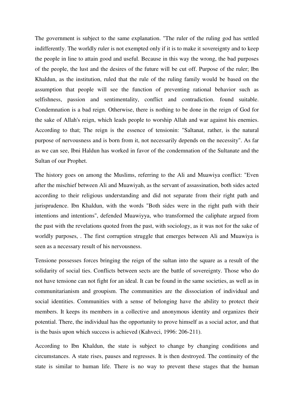The government is subject to the same explanation. "The ruler of the ruling god has settled indifferently. The worldly ruler is not exempted only if it is to make it sovereignty and to keep the people in line to attain good and useful. Because in this way the wrong, the bad purposes of the people, the lust and the desires of the future will be cut off. Purpose of the ruler; Ibn Khaldun, as the institution, ruled that the rule of the ruling family would be based on the assumption that people will see the function of preventing rational behavior such as selfishness, passion and sentimentality, conflict and contradiction. found suitable. Condemnation is a bad reign. Otherwise, there is nothing to be done in the reign of God for the sake of Allah's reign, which leads people to worship Allah and war against his enemies. According to that; The reign is the essence of tensionin: "Saltanat, rather, is the natural purpose of nervousness and is born from it, not necessarily depends on the necessity". As far as we can see, Ibni Haldun has worked in favor of the condemnation of the Sultanate and the Sultan of our Prophet.

The history goes on among the Muslims, referring to the Ali and Muawiya conflict: "Even after the mischief between Ali and Muawiyah, as the servant of assassination, both sides acted according to their religious understanding and did not separate from their right path and jurisprudence. Ibn Khaldun, with the words "Both sides were in the right path with their intentions and intentions", defended Muawiyya, who transformed the caliphate argued from the past with the revelations quoted from the past, with sociology, as it was not for the sake of worldly purposes, . The first corruption struggle that emerges between Ali and Muawiya is seen as a necessary result of his nervousness.

Tensione possesses forces bringing the reign of the sultan into the square as a result of the solidarity of social ties. Conflicts between sects are the battle of sovereignty. Those who do not have tensione can not fight for an ideal. It can be found in the same societies, as well as in communitarianism and groupism. The communities are the dissociation of individual and social identities. Communities with a sense of belonging have the ability to protect their members. It keeps its members in a collective and anonymous identity and organizes their potential. There, the individual has the opportunity to prove himself as a social actor, and that is the basis upon which success is achieved (Kahveci, 1996: 206-211).

According to Ibn Khaldun, the state is subject to change by changing conditions and circumstances. A state rises, pauses and regresses. It is then destroyed. The continuity of the state is similar to human life. There is no way to prevent these stages that the human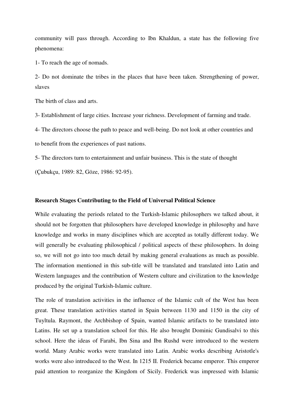community will pass through. According to Ibn Khaldun, a state has the following five phenomena:

1- To reach the age of nomads.

2- Do not dominate the tribes in the places that have been taken. Strengthening of power, slaves

The birth of class and arts.

3- Establishment of large cities. Increase your richness. Development of farming and trade.

4- The directors choose the path to peace and well-being. Do not look at other countries and to benefit from the experiences of past nations.

5- The directors turn to entertainment and unfair business. This is the state of thought

(Çubukçu, 1989: 82, Göze, 1986: 92-95).

### **Research Stages Contributing to the Field of Universal Political Science**

While evaluating the periods related to the Turkish-Islamic philosophers we talked about, it should not be forgotten that philosophers have developed knowledge in philosophy and have knowledge and works in many disciplines which are accepted as totally different today. We will generally be evaluating philosophical / political aspects of these philosophers. In doing so, we will not go into too much detail by making general evaluations as much as possible. The information mentioned in this sub-title will be translated and translated into Latin and Western languages and the contribution of Western culture and civilization to the knowledge produced by the original Turkish-Islamic culture.

The role of translation activities in the influence of the Islamic cult of the West has been great. These translation activities started in Spain between 1130 and 1150 in the city of Tuyltula. Raymont, the Archbishop of Spain, wanted Islamic artifacts to be translated into Latins. He set up a translation school for this. He also brought Dominic Gundisalvi to this school. Here the ideas of Farabi, Ibn Sina and Ibn Rushd were introduced to the western world. Many Arabic works were translated into Latin. Arabic works describing Aristotle's works were also introduced to the West. In 1215 II. Frederick became emperor. This emperor paid attention to reorganize the Kingdom of Sicily. Frederick was impressed with Islamic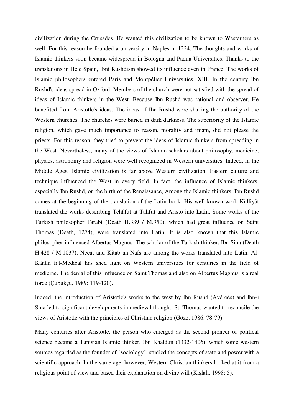civilization during the Crusades. He wanted this civilization to be known to Westerners as well. For this reason he founded a university in Naples in 1224. The thoughts and works of Islamic thinkers soon became widespread in Bologna and Padua Universities. Thanks to the translations in Hele Spain, Ibni Rushdism showed its influence even in France. The works of Islamic philosophers entered Paris and Montpélier Universities. XIII. In the century Ibn Rushd's ideas spread in Oxford. Members of the church were not satisfied with the spread of ideas of Islamic thinkers in the West. Because Ibn Rushd was rational and observer. He benefited from Aristotle's ideas. The ideas of Ibn Rushd were shaking the authority of the Western churches. The churches were buried in dark darkness. The superiority of the Islamic religion, which gave much importance to reason, morality and imam, did not please the priests. For this reason, they tried to prevent the ideas of Islamic thinkers from spreading in the West. Nevertheless, many of the views of Islamic scholars about philosophy, medicine, physics, astronomy and religion were well recognized in Western universities. Indeed, in the Middle Ages, Islamic civilization is far above Western civilization. Eastern culture and technique influenced the West in every field. In fact, the influence of Islamic thinkers, especially Ibn Rushd, on the birth of the Renaissance, Among the Islamic thinkers, Ibn Rushd comes at the beginning of the translation of the Latin book. His well-known work Külliyât translated the works describing Tehâfut at-Tahfut and Aristo into Latin. Some works of the Turkish philosopher Farabi (Death H.339 / M.950), which had great influence on Saint Thomas (Death, 1274), were translated into Latin. It is also known that this Islamic philosopher influenced Albertus Magnus. The scholar of the Turkish thinker, Ibn Sina (Death H.428 / M.1037), Necât and Kitâb an-Nafs are among the works translated into Latin. Al-Kânûn fi't-Medical has shed light on Western universities for centuries in the field of medicine. The denial of this influence on Saint Thomas and also on Albertus Magnus is a real force (Çubukçu, 1989: 119-120).

Indeed, the introduction of Aristotle's works to the west by Ibn Rushd (Avéroés) and Ibn-i Sina led to significant developments in medieval thought. St. Thomas wanted to reconcile the views of Aristotle with the principles of Christian religion (Göze, 1986: 78-79).

Many centuries after Aristotle, the person who emerged as the second pioneer of political science became a Tunisian Islamic thinker. Ibn Khaldun (1332-1406), which some western sources regarded as the founder of "sociology", studied the concepts of state and power with a scientific approach. In the same age, however, Western Christian thinkers looked at it from a religious point of view and based their explanation on divine will (Kışlalı, 1998: 5).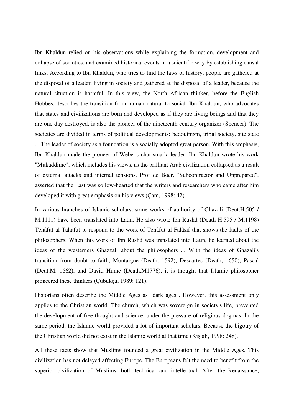Ibn Khaldun relied on his observations while explaining the formation, development and collapse of societies, and examined historical events in a scientific way by establishing causal links. According to Ibn Khaldun, who tries to find the laws of history, people are gathered at the disposal of a leader, living in society and gathered at the disposal of a leader, because the natural situation is harmful. In this view, the North African thinker, before the English Hobbes, describes the transition from human natural to social. Ibn Khaldun, who advocates that states and civilizations are born and developed as if they are living beings and that they are one day destroyed, is also the pioneer of the nineteenth century organizer (Spencer). The societies are divided in terms of political developments: bedouinism, tribal society, site state ... The leader of society as a foundation is a socially adopted great person. With this emphasis, Ibn Khaldun made the pioneer of Weber's charismatic leader. Ibn Khaldun wrote his work "Mukaddime", which includes his views, as the brilliant Arab civilization collapsed as a result of external attacks and internal tensions. Prof de Boer, "Subcontractor and Unprepared", asserted that the East was so low-hearted that the writers and researchers who came after him developed it with great emphasis on his views (Çam, 1998: 42).

In various branches of Islamic scholars, some works of authority of Ghazali (Deut.H.505 / M.1111) have been translated into Latin. He also wrote Ibn Rushd (Death H.595 / M.1198) Tehâfut al-Tahafut to respond to the work of Tehâfut al-Falâsif that shows the faults of the philosophers. When this work of Ibn Rushd was translated into Latin, he learned about the ideas of the westerners Ghazzali about the philosophers ... With the ideas of Ghazali's transition from doubt to faith, Montaigne (Death, 1592), Descartes (Death, 1650), Pascal (Deut.M. 1662), and David Hume (Death.M1776), it is thought that Islamic philosopher pioneered these thinkers (Çubukçu, 1989: 121).

Historians often describe the Middle Ages as "dark ages". However, this assessment only applies to the Christian world. The church, which was sovereign in society's life, prevented the development of free thought and science, under the pressure of religious dogmas. In the same period, the Islamic world provided a lot of important scholars. Because the bigotry of the Christian world did not exist in the Islamic world at that time (Kışlalı, 1998: 248).

All these facts show that Muslims founded a great civilization in the Middle Ages. This civilization has not delayed affecting Europe. The Europeans felt the need to benefit from the superior civilization of Muslims, both technical and intellectual. After the Renaissance,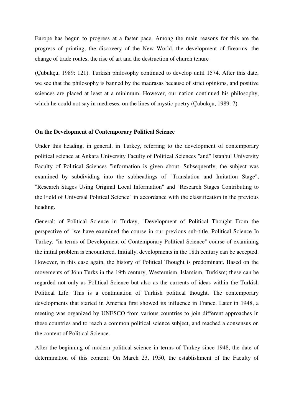Europe has begun to progress at a faster pace. Among the main reasons for this are the progress of printing, the discovery of the New World, the development of firearms, the change of trade routes, the rise of art and the destruction of church tenure

(Çubukçu, 1989: 121). Turkish philosophy continued to develop until 1574. After this date, we see that the philosophy is banned by the madrasas because of strict opinions, and positive sciences are placed at least at a minimum. However, our nation continued his philosophy, which he could not say in medreses, on the lines of mystic poetry (Çubukçu, 1989: 7).

### **On the Development of Contemporary Political Science**

Under this heading, in general, in Turkey, referring to the development of contemporary political science at Ankara University Faculty of Political Sciences "and" Istanbul University Faculty of Political Sciences "information is given about. Subsequently, the subject was examined by subdividing into the subheadings of "Translation and Imitation Stage", "Research Stages Using Original Local Information" and "Research Stages Contributing to the Field of Universal Political Science" in accordance with the classification in the previous heading.

General: of Political Science in Turkey, "Development of Political Thought From the perspective of "we have examined the course in our previous sub-title. Political Science In Turkey, "in terms of Development of Contemporary Political Science" course of examining the initial problem is encountered. Initially, developments in the 18th century can be accepted. However, in this case again, the history of Political Thought is predominant. Based on the movements of Jönn Turks in the 19th century, Westernism, Islamism, Turkism; these can be regarded not only as Political Science but also as the currents of ideas within the Turkish Political Life. This is a continuation of Turkish political thought. The contemporary developments that started in America first showed its influence in France. Later in 1948, a meeting was organized by UNESCO from various countries to join different approaches in these countries and to reach a common political science subject, and reached a consensus on the content of Political Science.

After the beginning of modern political science in terms of Turkey since 1948, the date of determination of this content; On March 23, 1950, the establishment of the Faculty of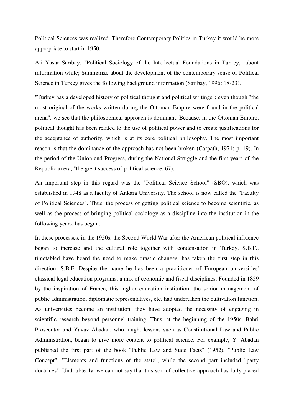Political Sciences was realized. Therefore Contemporary Politics in Turkey it would be more appropriate to start in 1950.

Ali Yasar Sarıbay, "Political Sociology of the Intellectual Foundations in Turkey," about information while; Summarize about the development of the contemporary sense of Political Science in Turkey gives the following background information (Sarıbay, 1996: 18-23).

"Turkey has a developed history of political thought and political writings"; even though "the most original of the works written during the Ottoman Empire were found in the political arena", we see that the philosophical approach is dominant. Because, in the Ottoman Empire, political thought has been related to the use of political power and to create justifications for the acceptance of authority, which is at its core political philosophy. The most important reason is that the dominance of the approach has not been broken (Carpath, 1971: p. 19). In the period of the Union and Progress, during the National Struggle and the first years of the Republican era, "the great success of political science, 67).

An important step in this regard was the "Political Science School" (SBO), which was established in 1948 as a faculty of Ankara University. The school is now called the "Faculty of Political Sciences". Thus, the process of getting political science to become scientific, as well as the process of bringing political sociology as a discipline into the institution in the following years, has begun.

In these processes, in the 1950s, the Second World War after the American political influence began to increase and the cultural role together with condensation in Turkey, S.B.F., timetabled have heard the need to make drastic changes, has taken the first step in this direction. S.B.F. Despite the name he has been a practitioner of European universities' classical legal education programs, a mix of economic and fiscal disciplines. Founded in 1859 by the inspiration of France, this higher education institution, the senior management of public administration, diplomatic representatives, etc. had undertaken the cultivation function. As universities become an institution, they have adopted the necessity of engaging in scientific research beyond personnel training. Thus, at the beginning of the 1950s, Bahri Prosecutor and Yavuz Abadan, who taught lessons such as Constitutional Law and Public Administration, began to give more content to political science. For example, Y. Abadan published the first part of the book "Public Law and State Facts" (1952), "Public Law Concept", "Elements and functions of the state", while the second part included "party doctrines". Undoubtedly, we can not say that this sort of collective approach has fully placed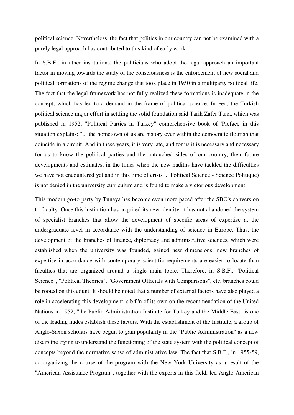political science. Nevertheless, the fact that politics in our country can not be examined with a purely legal approach has contributed to this kind of early work.

In S.B.F., in other institutions, the politicians who adopt the legal approach an important factor in moving towards the study of the consciousness is the enforcement of new social and political formations of the regime change that took place in 1950 in a multiparty political life. The fact that the legal framework has not fully realized these formations is inadequate in the concept, which has led to a demand in the frame of political science. Indeed, the Turkish political science major effort in settling the solid foundation said Tarik Zafer Tuna, which was published in 1952, "Political Parties in Turkey" comprehensive book of 'Preface in this situation explains: "... the hometown of us are history ever within the democratic flourish that coincide in a circuit. And in these years, it is very late, and for us it is necessary and necessary for us to know the political parties and the untouched sides of our country, their future developments and estimates, in the times when the new hadiths have tackled the difficulties we have not encountered yet and in this time of crisis ... Political Science - Science Politique) is not denied in the university curriculum and is found to make a victorious development.

This modern go-to party by Tunaya has become even more paced after the SBO's conversion to faculty. Once this institution has acquired its new identity, it has not abandoned the system of specialist branches that allow the development of specific areas of expertise at the undergraduate level in accordance with the understanding of science in Europe. Thus, the development of the branches of finance, diplomacy and administrative sciences, which were established when the university was founded, gained new dimensions; new branches of expertise in accordance with contemporary scientific requirements are easier to locate than faculties that are organized around a single main topic. Therefore, in S.B.F., "Political Science", "Political Theories", "Government Officials with Comparisons", etc. branches could be rooted on this count. It should be noted that a number of external factors have also played a role in accelerating this development. s.b.f.'n of its own on the recommendation of the United Nations in 1952, "the Public Administration Institute for Turkey and the Middle East" is one of the leading nudes establish these factors. With the establishment of the Institute, a group of Anglo-Saxon scholars have begun to gain popularity in the "Public Administration" as a new discipline trying to understand the functioning of the state system with the political concept of concepts beyond the normative sense of administrative law. The fact that S.B.F., in 1955-59, co-organizing the course of the program with the New York University as a result of the "American Assistance Program", together with the experts in this field, led Anglo American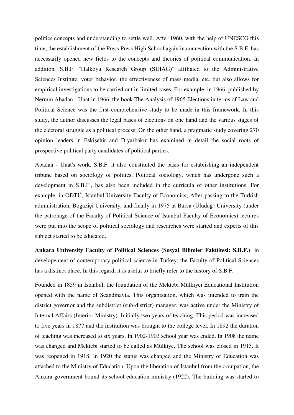politics concepts and understanding to settle well. After 1960, with the help of UNESCO this time, the establishment of the Press Press High School again in connection with the S.B.F. has necessarily opened new fields to the concepts and theories of political communication. In addition, S.B.F. "Halkoyu Research Group (SIHAG)" affiliated to the Administrative Sciences Institute, voter behavior, the effectiveness of mass media, etc. but also allows for empirical investigations to be carried out in limited cases. For example, in 1966, published by Nermin Abadan - Unat in 1966, the book The Analysis of 1965 Elections in terms of Law and Political Science was the first comprehensive study to be made in this framework. In this study, the author discusses the legal bases of elections on one hand and the various stages of the electoral struggle as a political process; On the other hand, a pragmatic study covering 270 opinion leaders in Eskişehir and Diyarbakır has examined in detail the social roots of prospective political party candidates of political parties.

Abadan - Unat's work, S.B.F. it also constituted the basis for establishing an independent tribune based on sociology of politics. Political sociology, which has undergone such a development in S.B.F., has also been included in the curricula of other institutions. For example, in ODTÜ, Istanbul University Faculty of Economics; After passing to the Turkish administration, Boğaziçi University, and finally in 1975 at Bursa (Uludağ) University (under the patronage of the Faculty of Political Science of Istanbul Faculty of Economics) lectures were put into the scope of political sociology and researches were started and experts of this subject started to be educated.

**Ankara University Faculty of Political Sciences (Sosyal Bilimler Fakültesi: S.B.F.)**: in developement of contemporary political science in Turkey, the Faculty of Political Sciences has a distinct place. In this regard, it is useful to briefly refer to the history of S.B.F.

Founded in 1859 in Istanbul, the foundation of the Mektebi Mülkiyei Educational Institution opened with the name of Scandinavia. This organization, which was intended to train the district governor and the subdistrict (sub-district) manager, was active under the Ministry of Internal Affairs (Interior Ministry). Initially two years of teaching. This period was increased to five years in 1877 and the institution was brought to the college level. In 1892 the duration of teaching was increased to six years. In 1902-1903 school year was ended. In 1908 the name was changed and Mektebi started to be called as Mülkiye. The school was closed in 1915. It was reopened in 1918. In 1920 the status was changed and the Ministry of Education was attached to the Ministry of Education. Upon the liberation of Istanbul from the occupation, the Ankara government bound its school education ministry (1922). The building was started to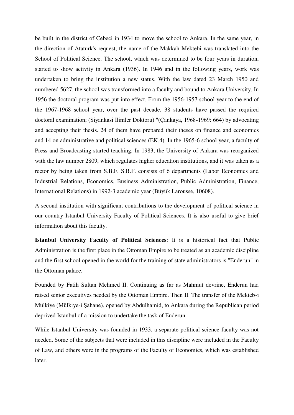be built in the district of Cebeci in 1934 to move the school to Ankara. In the same year, in the direction of Ataturk's request, the name of the Makkah Mektebi was translated into the School of Political Science. The school, which was determined to be four years in duration, started to show activity in Ankara (1936). In 1946 and in the following years, work was undertaken to bring the institution a new status. With the law dated 23 March 1950 and numbered 5627, the school was transformed into a faculty and bound to Ankara University. In 1956 the doctoral program was put into effect. From the 1956-1957 school year to the end of the 1967-1968 school year, over the past decade, 38 students have passed the required doctoral examination; (Siyankasi İlimler Doktoru) "(Çankaya, 1968-1969: 664) by advocating and accepting their thesis. 24 of them have prepared their theses on finance and economics and 14 on administrative and political sciences (EK.4). In the 1965-6 school year, a faculty of Press and Broadcasting started teaching. In 1983, the University of Ankara was reorganized with the law number 2809, which regulates higher education institutions, and it was taken as a rector by being taken from S.B.F. S.B.F. consists of 6 departments (Labor Economics and Industrial Relations, Economics, Business Administration, Public Administration, Finance, International Relations) in 1992-3 academic year (Büyük Larousse, 10608).

A second institution with significant contributions to the development of political science in our country Istanbul University Faculty of Political Sciences. It is also useful to give brief information about this faculty.

**Istanbul University Faculty of Political Sciences**: It is a historical fact that Public Administration is the first place in the Ottoman Empire to be treated as an academic discipline and the first school opened in the world for the training of state administrators is "Enderun" in the Ottoman palace.

Founded by Fatih Sultan Mehmed II. Continuing as far as Mahmut devrine, Enderun had raised senior executives needed by the Ottoman Empire. Then II. The transfer of the Mekteb-i Mülkiye (Mülkiye-i Şahane), opened by Abdulhamid, to Ankara during the Republican period deprived Istanbul of a mission to undertake the task of Enderun.

While Istanbul University was founded in 1933, a separate political science faculty was not needed. Some of the subjects that were included in this discipline were included in the Faculty of Law, and others were in the programs of the Faculty of Economics, which was established later.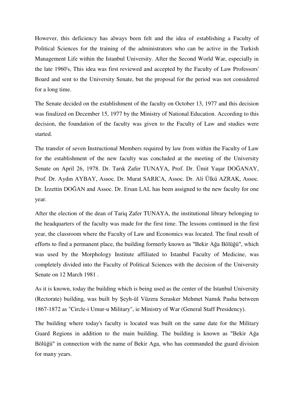However, this deficiency has always been felt and the idea of establishing a Faculty of Political Sciences for the training of the administrators who can be active in the Turkish Management Life within the Istanbul University. After the Second World War, especially in the late 1960's, This idea was first reviewed and accepted by the Faculty of Law Professors' Board and sent to the University Senate, but the proposal for the period was not considered for a long time.

The Senate decided on the establishment of the faculty on October 13, 1977 and this decision was finalized on December 15, 1977 by the Ministry of National Education. According to this decision, the foundation of the faculty was given to the Faculty of Law and studies were started.

The transfer of seven Instructional Members required by law from within the Faculty of Law for the establishment of the new faculty was concluded at the meeting of the University Senate on April 26, 1978. Dr. Tarık Zafer TUNAYA, Prof. Dr. Ümit Yaşar DOĞANAY, Prof. Dr. Aydın AYBAY, Assoc. Dr. Murat SARICA, Assoc. Dr. Ali Ülkü AZRAK, Assoc. Dr. İzzettin DOĞAN and Assoc. Dr. Ersan LAL has been assigned to the new faculty for one year.

After the election of the dean of Tariq Zafer TUNAYA, the institutional library belonging to the headquarters of the faculty was made for the first time. The lessons continued in the first year, the classroom where the Faculty of Law and Economics was located. The final result of efforts to find a permanent place, the building formerly known as "Bekir Ağa Bölüğü", which was used by the Morphology Institute affiliated to Istanbul Faculty of Medicine, was completely divided into the Faculty of Political Sciences with the decision of the University Senate on 12 March 1981 .

As it is known, today the building which is being used as the center of the Istanbul University (Rectorate) building, was built by Şeyh-ül Vüzera Serasker Mehmet Namık Pasha between 1867-1872 as "Circle-i Umur-u Military", ie Ministry of War (General Staff Presidency).

The building where today's faculty is located was built on the same date for the Military Guard Regions in addition to the main building. The building is known as "Bekir Ağa Bölüğü" in connection with the name of Bekir Aga, who has commanded the guard division for many years.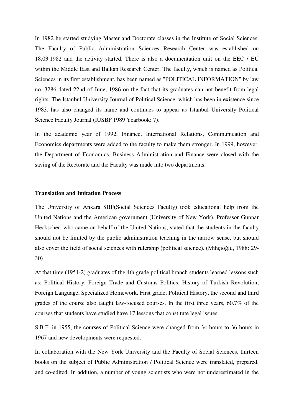In 1982 he started studying Master and Doctorate classes in the Institute of Social Sciences. The Faculty of Public Administration Sciences Research Center was established on 18.03.1982 and the activity started. There is also a documentation unit on the EEC / EU within the Middle East and Balkan Research Center. The faculty, which is named as Political Sciences in its first establishment, has been named as "POLITICAL INFORMATION" by law no. 3286 dated 22nd of June, 1986 on the fact that its graduates can not benefit from legal rights. The Istanbul University Journal of Political Science, which has been in existence since 1983, has also changed its name and continues to appear as Istanbul University Political Science Faculty Journal (IUSBF 1989 Yearbook: 7).

In the academic year of 1992, Finance, International Relations, Communication and Economics departments were added to the faculty to make them stronger. In 1999, however, the Department of Economics, Business Administration and Finance were closed with the saving of the Rectorate and the Faculty was made into two departments.

### **Translation and Imitation Process**

The University of Ankara SBF(Social Sciences Faculty) took educational help from the United Nations and the American government (University of New York). Professor Gunnar Heckscher, who came on behalf of the United Nations, stated that the students in the faculty should not be limited by the public administration teaching in the narrow sense, but should also cover the field of social sciences with rulership (political science). (Mıhçıoğlu, 1988: 29- 30)

At that time (1951-2) graduates of the 4th grade political branch students learned lessons such as: Political History, Foreign Trade and Customs Politics, History of Turkish Revolution, Foreign Language, Specialized Homework. First grade; Political History, the second and third grades of the course also taught law-focused courses. In the first three years, 60.7% of the courses that students have studied have 17 lessons that constitute legal issues.

S.B.F. in 1955, the courses of Political Science were changed from 34 hours to 36 hours in 1967 and new developments were requested.

In collaboration with the New York University and the Faculty of Social Sciences, thirteen books on the subject of Public Administration / Political Science were translated, prepared, and co-edited. In addition, a number of young scientists who were not underestimated in the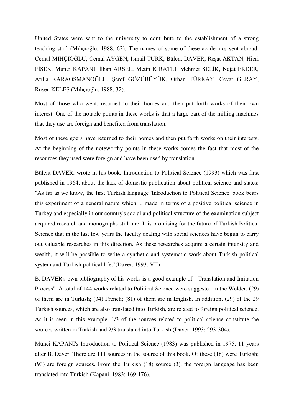United States were sent to the university to contribute to the establishment of a strong teaching staff (Mıhçıoğlu, 1988: 62). The names of some of these academics sent abroad: Cemal MIHÇIOĞLU, Cemal AYGEN, İsmail TÜRK, Bülent DAVER, Reşat AKTAN, Hicri FİŞEK, Munci KAPANI, İlhan ARSEL, Metin KIRATLI, Mehmet SELİK, Nejat ERDER, Atilla KARAOSMANOĞLU, Şeref GÖZÜBÜYÜK, Orhan TÜRKAY, Cevat GERAY, Ruşen KELEŞ (Mıhçıoğlu, 1988: 32).

Most of those who went, returned to their homes and then put forth works of their own interest. One of the notable points in these works is that a large part of the milling machines that they use are foreign and benefited from translation.

Most of these goers have returned to their homes and then put forth works on their interests. At the beginning of the noteworthy points in these works comes the fact that most of the resources they used were foreign and have been used by translation.

Bülent DAVER, wrote in his book, Introduction to Political Science (1993) which was first published in 1964, about the lack of domestic publication about political science and states: "As far as we know, the first Turkish language 'Introduction to Political Science' book bears this experiment of a general nature which ... made in terms of a positive political science in Turkey and especially in our country's social and political structure of the examination subject acquired research and monographs still rare. It is promising for the future of Turkish Political Science that in the last few years the faculty dealing with social sciences have begun to carry out valuable researches in this direction. As these researches acquire a certain intensity and wealth, it will be possible to write a synthetic and systematic work about Turkish political system and Turkish political life."(Daver, 1993: VII)

B. DAVER's own bibliography of his works is a good example of " Translation and Imitation Process". A total of 144 works related to Political Science were suggested in the Welder. (29) of them are in Turkish; (34) French; (81) of them are in English. In addition, (29) of the 29 Turkish sources, which are also translated into Turkish, are related to foreign political science. As it is seen in this example, 1/3 of the sources related to political science constitute the sources written in Turkish and 2/3 translated into Turkish (Daver, 1993: 293-304).

Münci KAPANİ's Introduction to Political Science (1983) was published in 1975, 11 years after B. Daver. There are 111 sources in the source of this book. Of these (18) were Turkish; (93) are foreign sources. From the Turkish (18) source (3), the foreign language has been translated into Turkish (Kapani, 1983: 169-176).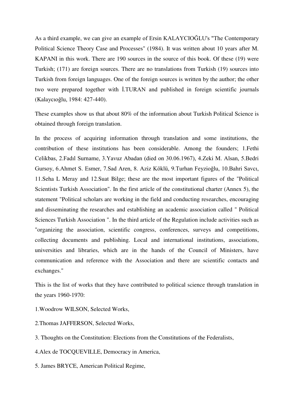As a third example, we can give an example of Ersin KALAYCIOĞLU's "The Contemporary Political Science Theory Case and Processes" (1984). It was written about 10 years after M. KAPANI in this work. There are 190 sources in the source of this book. Of these (19) were Turkish; (171) are foreign sources. There are no translations from Turkish (19) sources into Turkish from foreign languages. One of the foreign sources is written by the author; the other two were prepared together with İ.TURAN and published in foreign scientific journals (Kalaycıoğlu, 1984: 427-440).

These examples show us that about 80% of the information about Turkish Political Science is obtained through foreign translation.

In the process of acquiring information through translation and some institutions, the contribution of these institutions has been considerable. Among the founders; 1.Fethi Celikbas, 2.Fadıl Surname, 3.Yavuz Abadan (died on 30.06.1967), 4.Zeki M. Alsan, 5.Bedri Gursoy, 6.Ahmet S. Esmer, 7.Sad Aren, 8. Aziz Köklü, 9.Turhan Feyzioğlu, 10.Bahri Savcı, 11.Seha L Meray and 12.Suat Bilge; these are the most important figures of the "Political Scientists Turkish Association". In the first article of the constitutional charter (Annex 5), the statement "Political scholars are working in the field and conducting researches, encouraging and disseminating the researches and establishing an academic association called " Political Sciences Turkish Association ". In the third article of the Regulation include activities such as "organizing the association, scientific congress, conferences, surveys and competitions, collecting documents and publishing. Local and international institutions, associations, universities and libraries, which are in the hands of the Council of Ministers, have communication and reference with the Association and there are scientific contacts and exchanges."

This is the list of works that they have contributed to political science through translation in the years 1960-1970:

1.Woodrow WILSON, Selected Works,

2.Thomas JAFFERSON, Selected Works,

3. Thoughts on the Constitution: Elections from the Constitutions of the Federalists,

4.Alex de TOCQUEVILLE, Democracy in America,

5. James BRYCE, American Political Regime,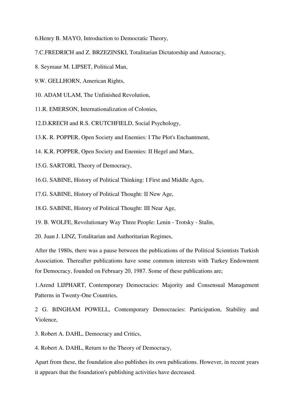6.Henry B. MAYO, Introduction to Democratic Theory,

7.C.FREDRICH and Z. BRZEZINSKI, Totalitarian Dictatorship and Autocracy,

8. Seymaur M. LIPSET, Political Man,

9.W. GELLHORN, American Rights,

10. ADAM ULAM, The Unfinished Revolution,

11.R. EMERSON, Internationalization of Colonies,

12.D.KRECH and R.S. CRUTCHFIELD, Social Psychology,

13.K. R. POPPER, Open Society and Enemies: I The Plot's Enchantment,

14. K.R. POPPER, Open Society and Enemies: II Hegel and Marx,

15.G. SARTORI, Theory of Democracy,

16.G. SABINE, History of Political Thinking: I First and Middle Ages,

17.G. SABINE, History of Political Thought: II New Age,

18.G. SABINE, History of Political Thought: III Near Age,

19. B. WOLFE, Revolutionary Way Three People: Lenin - Trotsky - Stalin,

20. Juan J. LINZ, Totalitarian and Authoritarian Regimes,

After the 1980s, there was a pause between the publications of the Political Scientists Turkish Association. Thereafter publications have some common interests with Turkey Endowment for Democracy, founded on February 20, 1987. Some of these publications are;

1.Arend LIJPHART, Contemporary Democracies: Majority and Consensual Management Patterns in Twenty-One Countries,

2 G. BINGHAM POWELL, Contemporary Democracies: Participation, Stability and Violence,

3. Robert A. DAHL, Democracy and Critics,

4. Robert A. DAHL, Return to the Theory of Democracy,

Apart from these, the foundation also publishes its own publications. However, in recent years it appears that the foundation's publishing activities have decreased.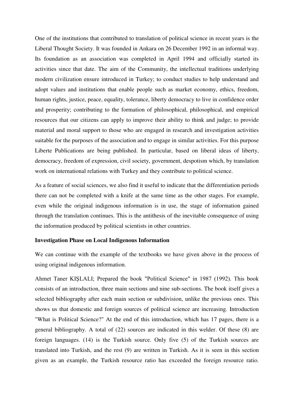One of the institutions that contributed to translation of political science in recent years is the Liberal Thought Society. It was founded in Ankara on 26 December 1992 in an informal way. Its foundation as an association was completed in April 1994 and officially started its activities since that date. The aim of the Community, the intellectual traditions underlying modern civilization ensure introduced in Turkey; to conduct studies to help understand and adopt values and institutions that enable people such as market economy, ethics, freedom, human rights, justice, peace, equality, tolerance, liberty democracy to live in confidence order and prosperity; contributing to the formation of philosophical, philosophical, and empirical resources that our citizens can apply to improve their ability to think and judge; to provide material and moral support to those who are engaged in research and investigation activities suitable for the purposes of the association and to engage in similar activities. For this purpose Liberte Publications are being published. In particular, based on liberal ideas of liberty, democracy, freedom of expression, civil society, government, despotism which, by translation work on international relations with Turkey and they contribute to political science.

As a feature of social sciences, we also find it useful to indicate that the differentiation periods there can not be completed with a knife at the same time as the other stages. For example, even while the original indigenous information is in use, the stage of information gained through the translation continues. This is the antithesis of the inevitable consequence of using the information produced by political scientists in other countries.

### **Investigation Phase on Local Indigenous Information**

We can continue with the example of the textbooks we have given above in the process of using original indigenous information.

Ahmet Taner KIŞLALI; Prepared the book "Political Science" in 1987 (1992). This book consists of an introduction, three main sections and nine sub-sections. The book itself gives a selected bibliography after each main section or subdivision, unlike the previous ones. This shows us that domestic and foreign sources of political science are increasing. Introduction "What is Political Science?" At the end of this introduction, which has 17 pages, there is a general bibliography. A total of (22) sources are indicated in this welder. Of these (8) are foreign languages. (14) is the Turkish source. Only five (5) of the Turkish sources are translated into Turkish, and the rest (9) are written in Turkish. As it is seen in this section given as an example, the Turkish resource ratio has exceeded the foreign resource ratio.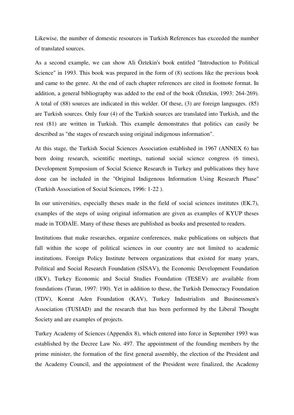Likewise, the number of domestic resources in Turkish References has exceeded the number of translated sources.

As a second example, we can show Ali Öztekin's book entitled "Introduction to Political Science" in 1993. This book was prepared in the form of (8) sections like the previous book and came to the genre. At the end of each chapter references are cited in footnote format. In addition, a general bibliography was added to the end of the book (Öztekin, 1993: 264-269). A total of (88) sources are indicated in this welder. Of these, (3) are foreign languages. (85) are Turkish sources. Only four (4) of the Turkish sources are translated into Turkish, and the rest (81) are written in Turkish. This example demonstrates that politics can easily be described as "the stages of research using original indigenous information".

At this stage, the Turkish Social Sciences Association established in 1967 (ANNEX 6) has been doing research, scientific meetings, national social science congress (6 times), Development Symposium of Social Science Research in Turkey and publications they have done can be included in the "Original Indigenous Information Using Research Phase" (Turkish Association of Social Sciences, 1996: 1-22 ).

In our universities, especially theses made in the field of social sciences institutes (EK.7), examples of the steps of using original information are given as examples of KYUP theses made in TODAİE. Many of these theses are published as books and presented to readers.

Institutions that make researches, organize conferences, make publications on subjects that fall within the scope of political sciences in our country are not limited to academic institutions. Foreign Policy Institute between organizations that existed for many years, Political and Social Research Foundation (SİSAV), the Economic Development Foundation (IKV), Turkey Economic and Social Studies Foundation (TESEV) are available from foundations (Turan, 1997: 190). Yet in addition to these, the Turkish Democracy Foundation (TDV), Konrat Aden Foundation (KAV), Turkey Industrialists and Businessmen's Association (TUSIAD) and the research that has been performed by the Liberal Thought Society and are examples of projects.

Turkey Academy of Sciences (Appendix 8), which entered into force in September 1993 was established by the Decree Law No. 497. The appointment of the founding members by the prime minister, the formation of the first general assembly, the election of the President and the Academy Council, and the appointment of the President were finalized, the Academy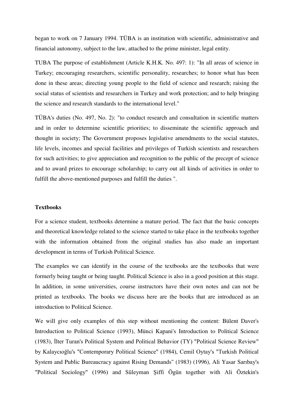began to work on 7 January 1994. TÜBA is an institution with scientific, administrative and financial autonomy, subject to the law, attached to the prime minister, legal entity.

TUBA The purpose of establishment (Article K.H.K. No. 497: 1): "In all areas of science in Turkey; encouraging researchers, scientific personality, researches; to honor what has been done in these areas; directing young people to the field of science and research; raising the social status of scientists and researchers in Turkey and work protection; and to help bringing the science and research standards to the international level."

TÜBA's duties (No. 497, No. 2): "to conduct research and consultation in scientific matters and in order to determine scientific priorities; to disseminate the scientific approach and thought in society; The Government proposes legislative amendments to the social statutes, life levels, incomes and special facilities and privileges of Turkish scientists and researchers for such activities; to give appreciation and recognition to the public of the precept of science and to award prizes to encourage scholarship; to carry out all kinds of activities in order to fulfill the above-mentioned purposes and fulfill the duties ".

### **Textbooks**

For a science student, textbooks determine a mature period. The fact that the basic concepts and theoretical knowledge related to the science started to take place in the textbooks together with the information obtained from the original studies has also made an important development in terms of Turkish Political Science.

The examples we can identify in the course of the textbooks are the textbooks that were formerly being taught or being taught. Political Science is also in a good position at this stage. In addition, in some universities, course instructors have their own notes and can not be printed as textbooks. The books we discuss here are the books that are introduced as an introduction to Political Science.

We will give only examples of this step without mentioning the content: Bülent Daver's Introduction to Political Science (1993), Münci Kapani's Introduction to Political Science (1983), İlter Turan's Political System and Political Behavior (TY) "Political Science Review" by Kalaycıoğlu's "Contemporary Political Science" (1984), Cemil Oytay's "Turkish Political System and Public Bureaucracy against Rising Demands" (1983) (1996), Ali Yasar Sarıbay's "Political Sociology" (1996) and Süleyman Şiffi Ögün together with Ali Öztekin's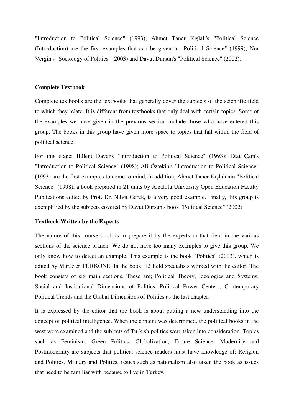"Introduction to Political Science" (1993), Ahmet Taner Kışlalı's "Political Science (Introduction) are the first examples that can be given in "Political Science" (1999), Nur Vergin's "Sociology of Politics" (2003) and Davut Dursun's "Political Science" (2002).

### **Complete Textbook**

Complete textbooks are the textbooks that generally cover the subjects of the scientific field to which they relate. It is different from textbooks that only deal with certain topics. Some of the examples we have given in the previous section include those who have entered this group. The books in this group have given more space to topics that fall within the field of political science.

For this stage; Bülent Daver's "Introduction to Political Science" (1993); Esat Çam's "Introduction to Political Science" (1998); Ali Öztekin's "Introduction to Political Science" (1993) are the first examples to come to mind. In addition, Ahmet Taner Kışlalı'nin "Political Science" (1998), a book prepared in 21 units by Anadolu University Open Education Faculty Publications edited by Prof. Dr. Nüvit Gerek, is a very good example. Finally, this group is exemplified by the subjects covered by Davut Dursun's book "Political Science" (2002)

### **Textbook Written by the Experts**

The nature of this course book is to prepare it by the experts in that field in the various sections of the science branch. We do not have too many examples to give this group. We only know how to detect an example. This example is the book "Politics" (2003), which is edited by Muraz'er TÜRKÖNE. In the book, 12 field specialists worked with the editor. The book consists of six main sections. These are; Political Theory, Ideologies and Systems, Social and Institutional Dimensions of Politics, Political Power Centers, Contemporary Political Trends and the Global Dimensions of Politics as the last chapter.

It is expressed by the editor that the book is about putting a new understanding into the concept of political intelligence. When the content was determined, the political books in the west were examined and the subjects of Turkish politics were taken into consideration. Topics such as Feminism, Green Politics, Globalization, Future Science, Modernity and Postmodernity are subjects that political science readers must have knowledge of; Religion and Politics, Military and Politics, issues such as nationalism also taken the book as issues that need to be familiar with because to live in Turkey.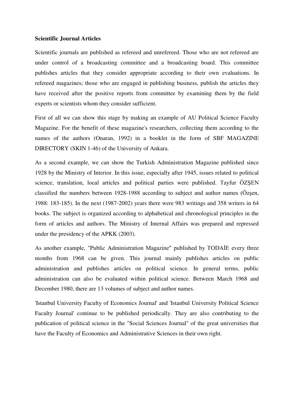### **Scientific Journal Articles**

Scientific journals are published as refereed and unrefereed. Those who are not refereed are under control of a broadcasting committee and a broadcasting board. This committee publishes articles that they consider appropriate according to their own evaluations. In refereed magazines; those who are engaged in publishing business, publish the articles they have received after the positive reports from committee by examining them by the field experts or scientists whom they consider sufficient.

First of all we can show this stage by making an example of AU Political Science Faculty Magazine. For the benefit of these magazine's researchers, collecting them according to the names of the authors (Onaran, 1992) in a booklet in the form of SBF MAGAZINE DIRECTORY (SKIN 1-46) of the University of Ankara.

As a second example, we can show the Turkish Administration Magazine published since 1928 by the Ministry of Interior. In this issue, especially after 1945, issues related to political science, translation, local articles and political parties were published. Tayfur ÖZŞEN classified the numbers between 1928-1988 according to subject and author names (Özşen, 1988: 183-185). In the next (1987-2002) years there were 983 writings and 358 writers in 64 books. The subject is organized according to alphabetical and chronological principles in the form of articles and authors. The Ministry of Internal Affairs was prepared and repressed under the presidency of the APKK (2003).

As another example, "Public Administration Magazine" published by TODAİE every three months from 1968 can be given. This journal mainly publishes articles on public administration and publishes articles on political science. In general terms, public administration can also be evaluated within political science. Between March 1968 and December 1980, there are 13 volumes of subject and author names.

'Istanbul University Faculty of Economics Journal' and 'Istanbul University Political Science Faculty Journal' continue to be published periodically. They are also contributing to the publication of political science in the "Social Sciences Journal" of the great universities that have the Faculty of Economics and Administrative Sciences in their own right.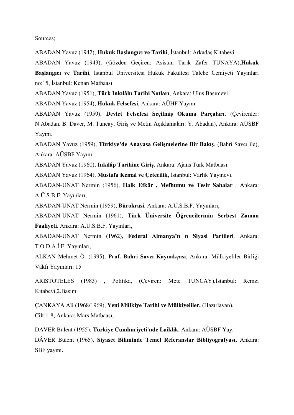Sources;

ABADAN Yavuz (1942), **Hukuk Başlangıcı ve Tarihi**, İstanbul: Arkadaş Kitabevi.

ABADAN Yavuz (1943), (Gözden Geçiren: Asistan Tarık Zafer TUNAYA),**Hukuk Başlangıcı ve Tarihi**, İstanbul Üniversitesi Hukuk Fakültesi Talebe Cemiyeti Yayınları no:15, İstanbul: Kenan Matbaası

ABADAN Yavuz (1951), **Türk Inkılâbı Tarihi Notları**, Ankara: Ulus Basımevi.

ABADAN Yavuz (1954), **Hukuk Felsefesi**, Ankara: AÜHF Yayını.

ABADAN Yavuz (1959), **Devlet Felsefesi Seçilmiş Okuma Parçaları**, (Çevirenler: N.Abadan, B. Daver, M. Tuncay, Giriş ve Metin Açıklamaları: Y. Abadan), Ankara: AÜSBF Yayını.

ABADAN Yavuz (1959), **Türkiye'de Anayasa Gelişmelerine Bir Bakış**, (Bahri Savcı ile), Ankara: AÜSBF Yayını.

ABADAN Yavuz (1960), **Inkılâp Tarihine Giriş**, Ankara: Ajans Türk Matbaası.

ABADAN Yavuz (1964), **Mustafa Kemal ve Çetecilik**, İstanbul: Varlık Yayınevi.

ABADAN-UNAT Nermin (1956), **Halk Efkâr , Mefhumu ve Tesir Sahalar** *,* Ankara: A.Ü.S.B.F. Yayınları,

ABADAN-UNAT Nermin (1959), **Bürokrasi***,* Ankara: A.Ü.S.B.F. Yayınları,

ABADAN-UNAT Nermin (1961), **Türk Üniversite Öğrencilerinin Serbest Zaman Faaliyeti***,* Ankara: A.Ü.S.B.F. Yayınları,

ABADAN-UNAT Nermin (1962), **Federal Almanya'n n Siyasi Partileri***,* Ankara: T.O.D.A.İ.E. Yayınları,

ALKAN Mehmet Ö. (1995), **Prof. Bahri Savcı Kaynakçası**, Ankara: Mülkiyeliler Birliği Vakfı Yayınları: 15

ARISTOTELES (1983) , Politika, (Çeviren: Mete TUNCAY),İstanbul: Remzi Kitabevi,2.Basım

ÇANKAYA Ali (1968/1969), **Yeni Mülkiye Tarihi ve Mülkiyeliler,** (Hazırlayan), Cilt:1-8, Ankara: Mars Matbaası,

DAVER Bülent (1955), **Türkiye Cumhuriyeti'nde Laiklik**, Ankara: AÜSBF Yay.

DÂVER Bülent (1965), **Siyaset Biliminde Temel Referanslar Bibliyografyası,** Ankara: SBF yayını.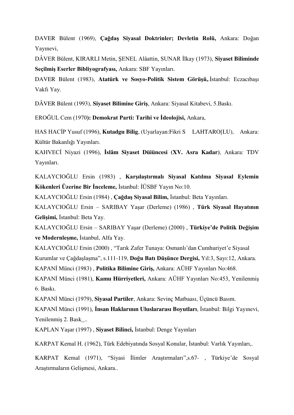DAVER Bülent (1969), **Çağdaş Siyasal Doktrinler; Devletin Rolü,** Ankara: Doğan Yayınevi,

DÂVER Bülent, KIRARLI Metin, ŞENEL Alâattin, SUNAR İlkay (1973), **Siyaset Biliminde Seçilmiş Eserler Bibliyografyası,** Ankara: SBF Yayınları.

DAVER Bülent (1983), **Atatürk ve Sosyo-Politik Sistem Görüşü,**.İstanbul: Eczacıbaşı Vakfı Yay.

DÂVER Bülent (1993), **Siyaset Bilimine Giriş**, Ankara: Siyasal Kitabevi, 5.Baskı.

EROĞUL Cem (1970**): Demokrat Parti: Tarihi ve İdeolojisi,** Ankara,

HAS HACİP Yusuf (1996), **Kutadgu Bilig**, (Uyarlayan:Fikri S LAHTARO[LU), Ankara: Kültür Bakanlığı Yayınları.

KAHVECİ Niyazi (1996), **İslâm Siyaset Düiüncesi (XV. Asra Kadar)**, Ankara: TDV Yayınları.

KALAYCIOĞLU Ersin (1983) , **Karşılaştırmalı Siyasal Katılma Siyasal Eylemin Kökenleri Üzerine Bir İnceleme,** İstanbul: İÜSBF Yayın No:10.

KALAYCIOĞLU Ersin (1984) , **Çağdaş Siyasal Bilim,** İstanbul: Beta Yayınları.

KALAYCIOĞLU Ersin – SARIBAY Yaşar (Derleme) (1986) , **Türk Siyasal Hayatının Gelişimi,** İstanbul: Beta Yay.

KALAYCIOĞLU Ersin – SARIBAY Yaşar (Derleme) (2000) , **Türkiye'de Politik Değişim ve Modernleşme,** İstanbul, Alfa Yay.

KALAYCIOĞLU Ersin (2000) , "Tarık Zafer Tunaya: Osmanlı'dan Cumhuriyet'e Siyasal Kurumlar ve Çağdaşlaşma", s.111-119, **Doğu Batı Düşünce Dergisi,** Yıl:3, Sayı:12, Ankara.

KAPANİ Münci (1983) , **Politika Bilimine Giriş,** Ankara: AÜHF Yayınları No:468.

KAPANİ Münci (1981), **Kamu Hürriyetleri,** Ankara: AÜHF Yayınları No:453, Yenilenmiş 6. Baskı.

KAPANİ Münci (1979), **Siyasal Partiler**, Ankara: Sevinç Matbaası, Üçüncü Basım.

KAPANİ Münci (1991), **İnsan Haklarının Uluslararası Boyutları**, İstanbul: Bilgi Yayınevi, Yenilenmiş 2. Bask\_..

KAPLAN Yaşar (1997) , **Siyaset Bilinci,** İstanbul: Denge Yayınları

KARPAT Kemal H. (1962), Türk Edebiyatında Sosyal Konular, İstanbul: Varlık Yayınları,.

KARPAT Kemal (1971), "Siyasi İlimler Araştırmaları",s.67- , Türkiye'de Sosyal Araştırmaların Gelişmesi, Ankara..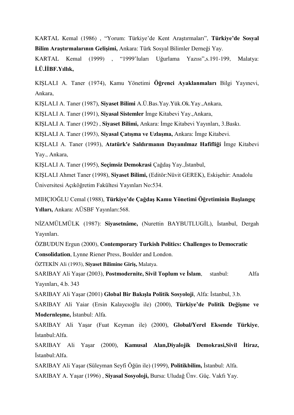KARTAL Kemal (1986) , "Yorum: Türkiye'de Kent Araştırmaları", **Türkiye'de Sosyal Bilim Araştırmalarının Gelişimi,** Ankara: Türk Sosyal Bilimler Derneği Yay.

KARTAL Kemal (1999) , "1999'luları Uğurlama Yazısı",s.191-199, Malatya: **İ.Ü.İİBF.Yıllık,**

KIŞLALI A. Taner (1974), Kamu Yönetimi **Öğrenci Ayaklanmaları** Bilgi Yayınevi, Ankara,

KIŞLALI A. Taner (1987), **Siyaset Bilimi** A.Ü.Bas.Yay.Yük.Ok.Yay.,Ankara,

KIŞLALI A. Taner (1991), **Siyasal Sistemler** İmge Kitabevi Yay.,Ankara,

KIŞLALI A. Taner (1992) , **Siyaset Bilimi,** Ankara: İmge Kitabevi Yayınları, 3.Baskı.

KIŞLALI A. Taner (1993), **Siyasal Çatışma ve Uzlaşma,** Ankara: İmge Kitabevi.

KIŞLALI A. Taner (1993), **Atatürk'e Saldırmanın Dayanılmaz Hafifliği** İmge Kitabevi Yay., Ankara,

KIŞLALI A. Taner (1995), **Seçimsiz Demokrasi** Çağdaş Yay.,İstanbul,

KIŞLALI Ahmet Taner (1998), **Siyaset Bilimi,** (Editör:Nüvit GEREK), Eskişehir: Anadolu Üniversitesi Açıköğretim Fakültesi Yayınları No:534.

MIHÇIOĞLU Cemal (1988), **Türkiye'de Çağdaş Kamu Yönetimi Öğretiminin Başlangıç Yılları,** Ankara: AÜSBF Yayınları:568.

NİZAMÜLMÜLK (1987): **Siyasetnâme,** (Nurettin BAYBUTLUGİL), İstanbul, Dergah Yayınları.

ÖZBUDUN Ergun (2000), **Contemporary Turkish Politics: Challenges to Democratic Consolidation**, Lynne Riener Press, Boulder and London.

ÖZTEKİN Ali (1993), **Siyaset Bilimine Giriş,** Malatya.

SARIBAY Ali Yaşar (2003), **Postmodernite, Sivil Toplum ve İslam**, stanbul: Alfa Yayınları, 4.b. 343

SARIBAY Ali Yaşar (2001) **Global Bir Bakışla Politik Sosyoloji**, Alfa: İstanbul, 3.b.

SARIBAY Ali Yaiar (Ersin Kalaycıoğlu ile) (2000), **Türkiye'de Politik Değişme ve Modernleşme,** İstanbul: Alfa.

SARIBAY Ali Yaşar (Fuat Keyman ile) (2000), **Global/Yerel Eksende Türkiye**, İstanbul:Alfa.

SARIBAY Ali Yaşar (2000), **Kamusal Alan,Diyalojik Demokrasi,Sivil İtiraz,**  İstanbul:Alfa.

SARIBAY Ali Yaşar (Süleyman Seyfi Öğün ile) (1999), **Politikbilim,** İstanbul: Alfa.

SARIBAY A. Yaşar (1996) , **Siyasal Sosyoloji,** Bursa: Uludağ Ünv. Güç. Vakfı Yay.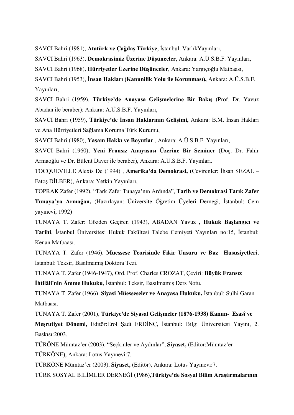SAVCI Bahri (1981), **Atatürk ve Çağdaş Türkiye**, İstanbul: VarlıkYayınları,

SAVCI Bahri (1963), **Demokrasimiz Üzerine Düşünceler**, Ankara: A.Ü.S.B.F. Yayınları,

SAVCI Bahri (1968), **Hürriyetler Üzerine Düşünceler**, Ankara: Yargıçoğlu Matbaası,

SAVCI Bahri (1953), **İnsan Hakları (Kanunilik Yolu ile Korunması),** Ankara: A.Ü.S.B.F. Yayınları,

SAVCI Bahri (1959), **Türkiye'de Anayasa Gelişmelerine Bir Bakış** (Prof. Dr. Yavuz Abadan ile beraber): Ankara: A.Ü.S.B.F. Yayınları,

SAVCI Bahri (1959), **Türkiye'de İnsan Haklarının Gelişimi,** Ankara: B.M. İnsan Hakları ve Ana Hürriyetleri Sağlama Koruma Türk Kurumu,

SAVCI Bahri (1980), **Yaşam Hakkı ve Boyutlar** , Ankara: A.Ü.S.B.F. Yayınları,

SAVCI Bahri (1960), **Yeni Fransız Anayasası Üzerine Bir Seminer** (Doç. Dr. Fahir Armaoğlu ve Dr. Bülent Daver ile beraber), Ankara: A.Ü.S.B.F. Yayınları.

TOCQUEVILLE Alexis De (1994) , **Amerika'da Demokrasi,** (Çevirenler: İhsan SEZAL – Fatoş DİLBER), Ankara: Yetkin Yayınları,

TOPRAK Zafer (1992), "Tark Zafer Tunaya'nın Ardında", **Tarih ve Demokrasi Tarık Zafer Tunaya'ya Armağan,** (Hazırlayan: Üniversite Öğretim Üyeleri Derneği, İstanbul: Cem yayınevi, 1992)

TUNAYA T. Zafer: Gözden Geçiren (1943), ABADAN Yavuz , **Hukuk Başlangıcı ve Tarihi**, İstanbul Üniversitesi Hukuk Fakültesi Talebe Cemiyeti Yayınları no:15, İstanbul: Kenan Matbaası.

TUNAYA T. Zafer (1946), **Müessese Teorisinde Fikir Unsuru ve Baz Hususiyetleri**, İstanbul: Teksir, Basılmamış Doktora Tezi.

TUNAYA T. Zafer (1946-1947), Ord. Prof. Charles CROZAT, Çeviri: **Büyük Fransız**

**İhtilâli'nin Âmme Hukuku**, İstanbul: Teksir, Basılmamış Ders Notu.

TUNAYA T. Zafer (1966), **Siyasi Müesseseler ve Anayasa Hukuku,** İstanbul: Sulhi Garan Matbaası.

TUNAYA T. Zafer (2001), **Türkiye'de Siyasal Gelişmeler (1876-1938) Kanun- Esasî ve Meşrutiyet Dönemi,** Editör:Erol Şadi ERDİNÇ, İstanbul: Bilgi Üniversitesi Yayını, 2. Baskısı:2003.

TÜRÖNE Mümtaz'er (2003), "Seçkinler ve Aydınlar", **Siyaset,** (Editör:Mümtaz'er

TÜRKÖNE), Ankara: Lotus Yayınevi:7.

TÜRKÖNE Mümtaz'er (2003), **Siyaset,** (Editör), Ankara: Lotus Yayınevi:7.

TÜRK SOSYAL BİLİMLER DERNEĞİ (1986),**Türkiye'de Sosyal Bilim Araştırmalarının**